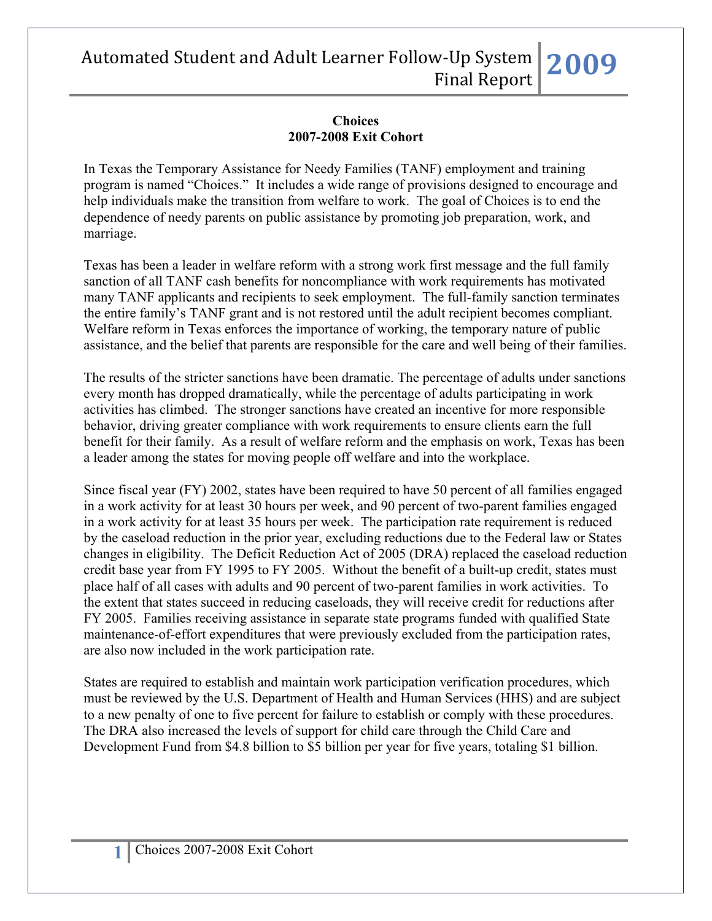#### **Choices 2007-2008 Exit Cohort**

In Texas the Temporary Assistance for Needy Families (TANF) employment and training program is named "Choices." It includes a wide range of provisions designed to encourage and help individuals make the transition from welfare to work. The goal of Choices is to end the dependence of needy parents on public assistance by promoting job preparation, work, and marriage.

Texas has been a leader in welfare reform with a strong work first message and the full family sanction of all TANF cash benefits for noncompliance with work requirements has motivated many TANF applicants and recipients to seek employment. The full-family sanction terminates the entire family's TANF grant and is not restored until the adult recipient becomes compliant. Welfare reform in Texas enforces the importance of working, the temporary nature of public assistance, and the belief that parents are responsible for the care and well being of their families.

The results of the stricter sanctions have been dramatic. The percentage of adults under sanctions every month has dropped dramatically, while the percentage of adults participating in work activities has climbed. The stronger sanctions have created an incentive for more responsible behavior, driving greater compliance with work requirements to ensure clients earn the full benefit for their family. As a result of welfare reform and the emphasis on work, Texas has been a leader among the states for moving people off welfare and into the workplace.

Since fiscal year (FY) 2002, states have been required to have 50 percent of all families engaged in a work activity for at least 30 hours per week, and 90 percent of two-parent families engaged in a work activity for at least 35 hours per week. The participation rate requirement is reduced by the caseload reduction in the prior year, excluding reductions due to the Federal law or States changes in eligibility. The Deficit Reduction Act of 2005 (DRA) replaced the caseload reduction credit base year from FY 1995 to FY 2005. Without the benefit of a built-up credit, states must place half of all cases with adults and 90 percent of two-parent families in work activities. To the extent that states succeed in reducing caseloads, they will receive credit for reductions after FY 2005. Families receiving assistance in separate state programs funded with qualified State maintenance-of-effort expenditures that were previously excluded from the participation rates, are also now included in the work participation rate.

States are required to establish and maintain work participation verification procedures, which must be reviewed by the U.S. Department of Health and Human Services (HHS) and are subject to a new penalty of one to five percent for failure to establish or comply with these procedures. The DRA also increased the levels of support for child care through the Child Care and Development Fund from \$4.8 billion to \$5 billion per year for five years, totaling \$1 billion.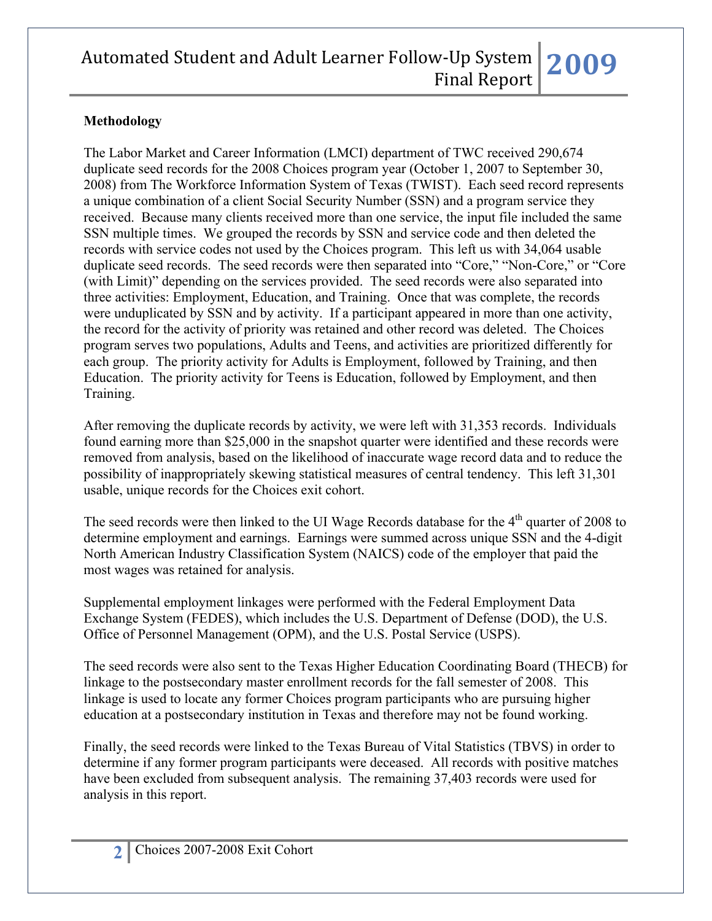### **Methodology**

The Labor Market and Career Information (LMCI) department of TWC received 290,674 duplicate seed records for the 2008 Choices program year (October 1, 2007 to September 30, 2008) from The Workforce Information System of Texas (TWIST). Each seed record represents a unique combination of a client Social Security Number (SSN) and a program service they received. Because many clients received more than one service, the input file included the same SSN multiple times. We grouped the records by SSN and service code and then deleted the records with service codes not used by the Choices program. This left us with 34,064 usable duplicate seed records. The seed records were then separated into "Core," "Non-Core," or "Core (with Limit)" depending on the services provided. The seed records were also separated into three activities: Employment, Education, and Training. Once that was complete, the records were unduplicated by SSN and by activity. If a participant appeared in more than one activity, the record for the activity of priority was retained and other record was deleted. The Choices program serves two populations, Adults and Teens, and activities are prioritized differently for each group. The priority activity for Adults is Employment, followed by Training, and then Education. The priority activity for Teens is Education, followed by Employment, and then Training.

After removing the duplicate records by activity, we were left with 31,353 records. Individuals found earning more than \$25,000 in the snapshot quarter were identified and these records were removed from analysis, based on the likelihood of inaccurate wage record data and to reduce the possibility of inappropriately skewing statistical measures of central tendency. This left 31,301 usable, unique records for the Choices exit cohort.

The seed records were then linked to the UI Wage Records database for the  $4<sup>th</sup>$  quarter of 2008 to determine employment and earnings. Earnings were summed across unique SSN and the 4-digit North American Industry Classification System (NAICS) code of the employer that paid the most wages was retained for analysis.

Supplemental employment linkages were performed with the Federal Employment Data Exchange System (FEDES), which includes the U.S. Department of Defense (DOD), the U.S. Office of Personnel Management (OPM), and the U.S. Postal Service (USPS).

The seed records were also sent to the Texas Higher Education Coordinating Board (THECB) for linkage to the postsecondary master enrollment records for the fall semester of 2008. This linkage is used to locate any former Choices program participants who are pursuing higher education at a postsecondary institution in Texas and therefore may not be found working.

Finally, the seed records were linked to the Texas Bureau of Vital Statistics (TBVS) in order to determine if any former program participants were deceased. All records with positive matches have been excluded from subsequent analysis. The remaining 37,403 records were used for analysis in this report.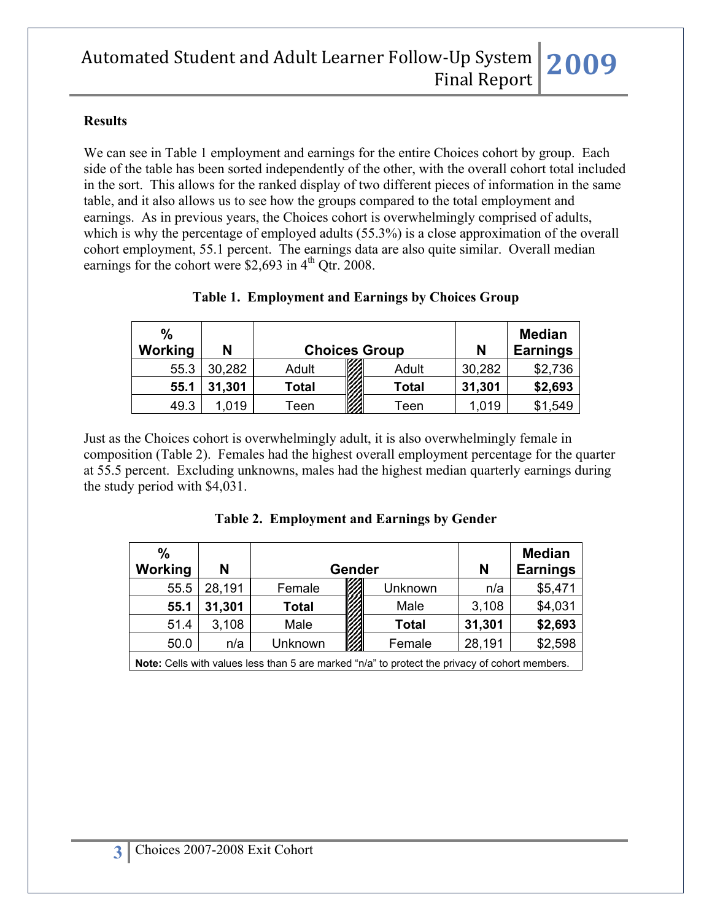#### **Results**

We can see in Table 1 employment and earnings for the entire Choices cohort by group. Each side of the table has been sorted independently of the other, with the overall cohort total included in the sort. This allows for the ranked display of two different pieces of information in the same table, and it also allows us to see how the groups compared to the total employment and earnings. As in previous years, the Choices cohort is overwhelmingly comprised of adults, which is why the percentage of employed adults (55.3%) is a close approximation of the overall cohort employment, 55.1 percent. The earnings data are also quite similar. Overall median earnings for the cohort were \$2,693 in  $4<sup>th</sup>$  Otr. 2008.

| $\frac{9}{6}$<br><b>Working</b> | N      |       | <b>Choices Group</b> | N      | <b>Median</b><br><b>Earnings</b> |
|---------------------------------|--------|-------|----------------------|--------|----------------------------------|
| 55.3                            | 30,282 | Adult | Adult                | 30,282 | \$2,736                          |
| 55.1                            | 31,301 | Total | Total                | 31,301 | \$2,693                          |
| 49.3                            | .019   | Teen  | Teen                 | 1,019  | \$1,549                          |

### **Table 1. Employment and Earnings by Choices Group**

Just as the Choices cohort is overwhelmingly adult, it is also overwhelmingly female in composition (Table 2). Females had the highest overall employment percentage for the quarter at 55.5 percent. Excluding unknowns, males had the highest median quarterly earnings during the study period with \$4,031.

|  | Table 2. Employment and Earnings by Gender |  |  |
|--|--------------------------------------------|--|--|
|--|--------------------------------------------|--|--|

| $\%$    |                                                                                                       |         |   |                 |        | <b>Median</b> |  |  |
|---------|-------------------------------------------------------------------------------------------------------|---------|---|-----------------|--------|---------------|--|--|
| Working | N                                                                                                     | Gender  | N | <b>Earnings</b> |        |               |  |  |
| 55.5    | 28,191                                                                                                | Female  |   | Unknown         | n/a    | \$5,471       |  |  |
| 55.1    | 31,301                                                                                                | Total   |   | Male            | 3,108  | \$4,031       |  |  |
| 51.4    | 3,108                                                                                                 | Male    |   | <b>Total</b>    | 31,301 | \$2,693       |  |  |
| 50.0    | n/a                                                                                                   | Unknown |   | Female          | 28,191 | \$2,598       |  |  |
|         | <b>Note:</b> Cells with values less than 5 are marked "n/a" to protect the privacy of cohort members. |         |   |                 |        |               |  |  |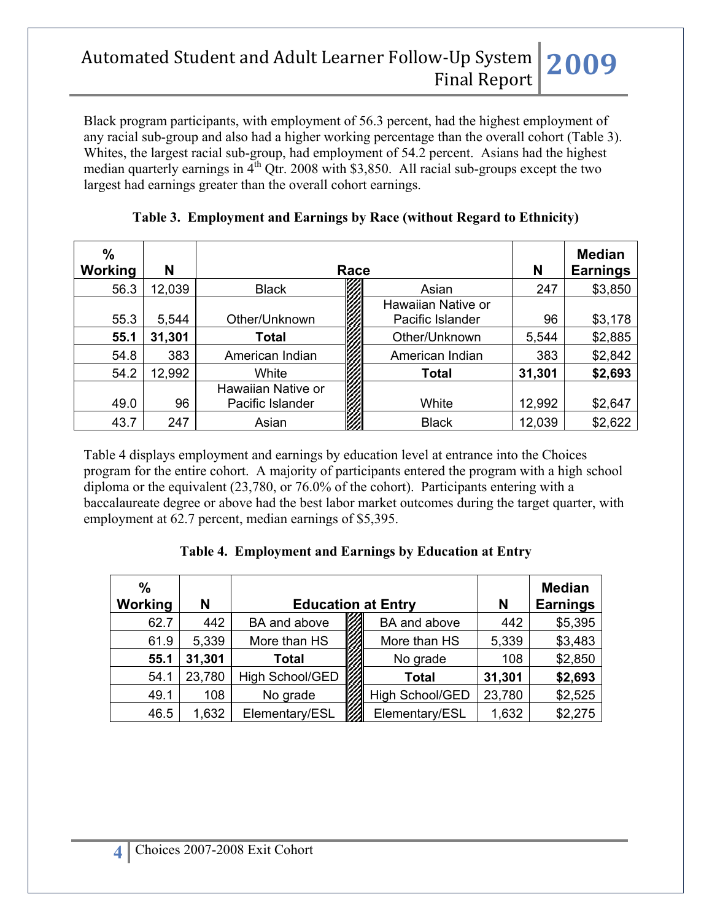Black program participants, with employment of 56.3 percent, had the highest employment of any racial sub-group and also had a higher working percentage than the overall cohort (Table 3). Whites, the largest racial sub-group, had employment of 54.2 percent. Asians had the highest median quarterly earnings in  $4<sup>th</sup>$  Qtr. 2008 with \$3,850. All racial sub-groups except the two largest had earnings greater than the overall cohort earnings.

| $\frac{0}{0}$<br>Working | N      |                    | Race |                                        | N      | <b>Median</b><br><b>Earnings</b> |
|--------------------------|--------|--------------------|------|----------------------------------------|--------|----------------------------------|
| 56.3                     | 12,039 | <b>Black</b>       |      | Asian                                  | 247    | \$3,850                          |
| 55.3                     | 5,544  | Other/Unknown      |      | Hawaiian Native or<br>Pacific Islander | 96     | \$3,178                          |
| 55.1                     | 31,301 | <b>Total</b>       |      | Other/Unknown                          | 5,544  | \$2,885                          |
| 54.8                     | 383    | American Indian    |      | American Indian                        | 383    | \$2,842                          |
| 54.2                     | 12,992 | White              |      | <b>Total</b>                           | 31,301 | \$2,693                          |
|                          |        | Hawaiian Native or |      |                                        |        |                                  |
| 49.0                     | 96     | Pacific Islander   |      | White                                  | 12,992 | \$2,647                          |
| 43.7                     | 247    | Asian              |      | <b>Black</b>                           | 12,039 | \$2,622                          |

**Table 3. Employment and Earnings by Race (without Regard to Ethnicity)**

Table 4 displays employment and earnings by education level at entrance into the Choices program for the entire cohort. A majority of participants entered the program with a high school diploma or the equivalent (23,780, or 76.0% of the cohort). Participants entering with a baccalaureate degree or above had the best labor market outcomes during the target quarter, with employment at 62.7 percent, median earnings of \$5,395.

### **Table 4. Employment and Earnings by Education at Entry**

| $\frac{0}{0}$<br>Working | N      |                 | <b>Education at Entry</b> | N      | <b>Median</b><br><b>Earnings</b> |
|--------------------------|--------|-----------------|---------------------------|--------|----------------------------------|
| 62.7                     | 442    | BA and above    | BA and above              | 442    | \$5,395                          |
| 61.9                     | 5,339  | More than HS    | More than HS              | 5,339  | \$3,483                          |
| 55.1                     | 31,301 | <b>Total</b>    | No grade                  | 108    | \$2,850                          |
| 54.1                     | 23,780 | High School/GED | <b>Total</b>              | 31,301 | \$2,693                          |
| 49.1                     | 108    | No grade        | <b>High School/GED</b>    | 23,780 | \$2,525                          |
| 46.5                     | 1,632  | Elementary/ESL  | Elementary/ESL            | 1,632  | \$2,275                          |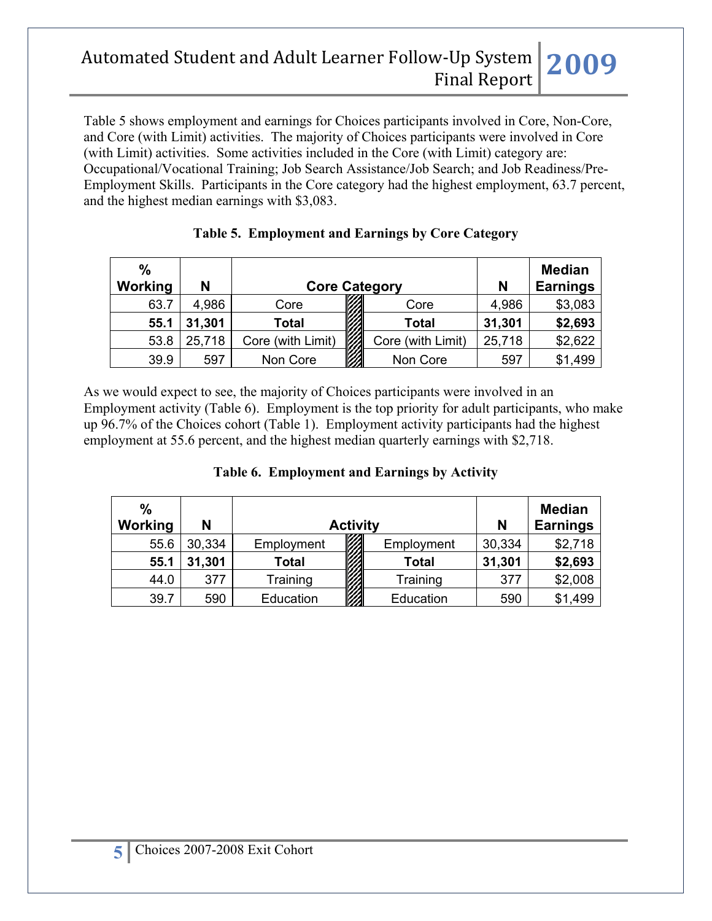Table 5 shows employment and earnings for Choices participants involved in Core, Non-Core, and Core (with Limit) activities. The majority of Choices participants were involved in Core (with Limit) activities. Some activities included in the Core (with Limit) category are: Occupational/Vocational Training; Job Search Assistance/Job Search; and Job Readiness/Pre-Employment Skills. Participants in the Core category had the highest employment, 63.7 percent, and the highest median earnings with \$3,083.

| $\%$<br>Working | N      | <b>Core Category</b> |                   | N      | <b>Median</b><br><b>Earnings</b> |
|-----------------|--------|----------------------|-------------------|--------|----------------------------------|
| 63.7            | 4,986  | Core                 | Core              | 4,986  | \$3,083                          |
| 55.1            | 31,301 | <b>Total</b>         | <b>Total</b>      | 31,301 | \$2,693                          |
| 53.8            | 25,718 | Core (with Limit)    | Core (with Limit) | 25,718 | \$2,622                          |
| 39.9            | 597    | Non Core             | Non Core          | 597    | \$1,499                          |

|  | Table 5. Employment and Earnings by Core Category |  |  |  |
|--|---------------------------------------------------|--|--|--|
|--|---------------------------------------------------|--|--|--|

As we would expect to see, the majority of Choices participants were involved in an Employment activity (Table 6). Employment is the top priority for adult participants, who make up 96.7% of the Choices cohort (Table 1). Employment activity participants had the highest employment at 55.6 percent, and the highest median quarterly earnings with \$2,718.

| $\frac{0}{0}$<br>Working | N      |              | <b>Activity</b> |              | N      | <b>Median</b><br><b>Earnings</b> |
|--------------------------|--------|--------------|-----------------|--------------|--------|----------------------------------|
| 55.6                     | 30,334 | Employment   |                 | Employment   | 30,334 | \$2,718                          |
| 55.1                     | 31,301 | <b>Total</b> |                 | <b>Total</b> | 31,301 | \$2,693                          |
| 44.0                     | 377    | Training     |                 | Training     | 377    | \$2,008                          |
| 39.7                     | 590    | Education    |                 | Education    | 590    | \$1,499                          |

#### **Table 6. Employment and Earnings by Activity**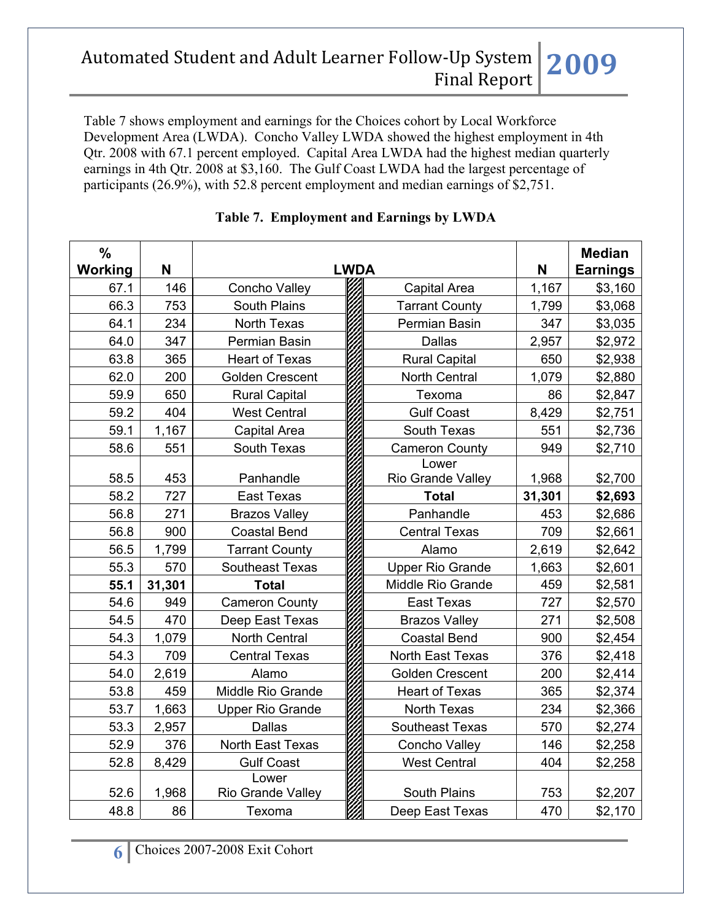Table 7 shows employment and earnings for the Choices cohort by Local Workforce Development Area (LWDA). Concho Valley LWDA showed the highest employment in 4th Qtr. 2008 with 67.1 percent employed. Capital Area LWDA had the highest median quarterly earnings in 4th Qtr. 2008 at \$3,160. The Gulf Coast LWDA had the largest percentage of participants (26.9%), with 52.8 percent employment and median earnings of \$2,751.

| $\frac{0}{0}$ |        |                            |             |                         |        | <b>Median</b>   |
|---------------|--------|----------------------------|-------------|-------------------------|--------|-----------------|
| Working       | N      |                            | <b>LWDA</b> |                         | N      | <b>Earnings</b> |
| 67.1          | 146    | Concho Valley              |             | Capital Area            | 1,167  | \$3,160         |
| 66.3          | 753    | <b>South Plains</b>        |             | <b>Tarrant County</b>   | 1,799  | \$3,068         |
| 64.1          | 234    | North Texas                |             | Permian Basin           | 347    | \$3,035         |
| 64.0          | 347    | Permian Basin              |             | <b>Dallas</b>           | 2,957  | \$2,972         |
| 63.8          | 365    | <b>Heart of Texas</b>      |             | <b>Rural Capital</b>    | 650    | \$2,938         |
| 62.0          | 200    | <b>Golden Crescent</b>     |             | North Central           | 1,079  | \$2,880         |
| 59.9          | 650    | <b>Rural Capital</b>       |             | Texoma                  | 86     | \$2,847         |
| 59.2          | 404    | <b>West Central</b>        |             | <b>Gulf Coast</b>       | 8,429  | \$2,751         |
| 59.1          | 1,167  | Capital Area               |             | South Texas             | 551    | \$2,736         |
| 58.6          | 551    | South Texas                |             | <b>Cameron County</b>   | 949    | \$2,710         |
|               |        |                            |             | Lower                   |        |                 |
| 58.5          | 453    | Panhandle                  |             | Rio Grande Valley       | 1,968  | \$2,700         |
| 58.2          | 727    | <b>East Texas</b>          |             | <b>Total</b>            | 31,301 | \$2,693         |
| 56.8          | 271    | <b>Brazos Valley</b>       |             | Panhandle               | 453    | \$2,686         |
| 56.8          | 900    | <b>Coastal Bend</b>        |             | <b>Central Texas</b>    | 709    | \$2,661         |
| 56.5          | 1,799  | <b>Tarrant County</b>      |             | Alamo                   | 2,619  | \$2,642         |
| 55.3          | 570    | <b>Southeast Texas</b>     |             | <b>Upper Rio Grande</b> | 1,663  | \$2,601         |
| 55.1          | 31,301 | <b>Total</b>               |             | Middle Rio Grande       | 459    | \$2,581         |
| 54.6          | 949    | <b>Cameron County</b>      |             | <b>East Texas</b>       | 727    | \$2,570         |
| 54.5          | 470    | Deep East Texas            |             | <b>Brazos Valley</b>    | 271    | \$2,508         |
| 54.3          | 1,079  | North Central              |             | <b>Coastal Bend</b>     | 900    | \$2,454         |
| 54.3          | 709    | <b>Central Texas</b>       |             | North East Texas        | 376    | \$2,418         |
| 54.0          | 2,619  | Alamo                      |             | Golden Crescent         | 200    | \$2,414         |
| 53.8          | 459    | Middle Rio Grande          |             | <b>Heart of Texas</b>   | 365    | \$2,374         |
| 53.7          | 1,663  | <b>Upper Rio Grande</b>    |             | <b>North Texas</b>      | 234    | \$2,366         |
| 53.3          | 2,957  | <b>Dallas</b>              |             | <b>Southeast Texas</b>  | 570    | \$2,274         |
| 52.9          | 376    | North East Texas           |             | Concho Valley           | 146    | \$2,258         |
| 52.8          | 8,429  | <b>Gulf Coast</b>          |             | <b>West Central</b>     | 404    | \$2,258         |
| 52.6          | 1,968  | Lower<br>Rio Grande Valley |             | South Plains            | 753    | \$2,207         |
| 48.8          | 86     | Texoma                     |             | Deep East Texas         | 470    | \$2,170         |

### **Table 7. Employment and Earnings by LWDA**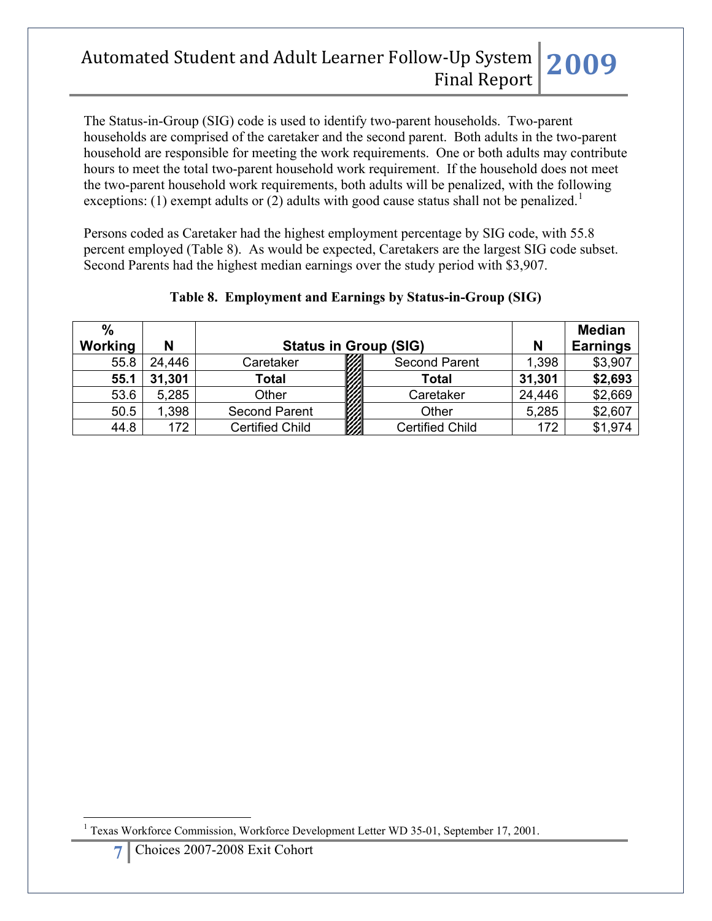The Status-in-Group (SIG) code is used to identify two-parent households. Two-parent households are comprised of the caretaker and the second parent. Both adults in the two-parent household are responsible for meeting the work requirements. One or both adults may contribute hours to meet the total two-parent household work requirement. If the household does not meet the two-parent household work requirements, both adults will be penalized, with the following exceptions: ([1](#page-6-0)) exempt adults or (2) adults with good cause status shall not be penalized.<sup>1</sup>

Persons coded as Caretaker had the highest employment percentage by SIG code, with 55.8 percent employed (Table 8). As would be expected, Caretakers are the largest SIG code subset. Second Parents had the highest median earnings over the study period with \$3,907.

| $\%$<br><b>Working</b> | N      |                                     | <b>Status in Group (SIG)</b> | N      | <b>Median</b><br><b>Earnings</b> |
|------------------------|--------|-------------------------------------|------------------------------|--------|----------------------------------|
| 55.8                   | 24,446 | Caretaker                           | <b>Second Parent</b>         | 1,398  | \$3,907                          |
| 55.1                   | 31,301 | <b>CONSTRUCTION</b><br><b>Total</b> | <b>Total</b>                 | 31,301 | \$2,693                          |
| 53.6                   | 5,285  | Other                               | Caretaker                    | 24,446 | \$2,669                          |
| 50.5                   | 1,398  | <b>Second Parent</b>                | Other                        | 5,285  | \$2,607                          |
| 44.8                   | 172    | <b>Certified Child</b>              | <b>Certified Child</b>       | 172    | \$1,974                          |

### **Table 8. Employment and Earnings by Status-in-Group (SIG)**

<span id="page-6-0"></span> $\overline{a}$ <sup>1</sup> Texas Workforce Commission, Workforce Development Letter WD 35-01, September 17, 2001.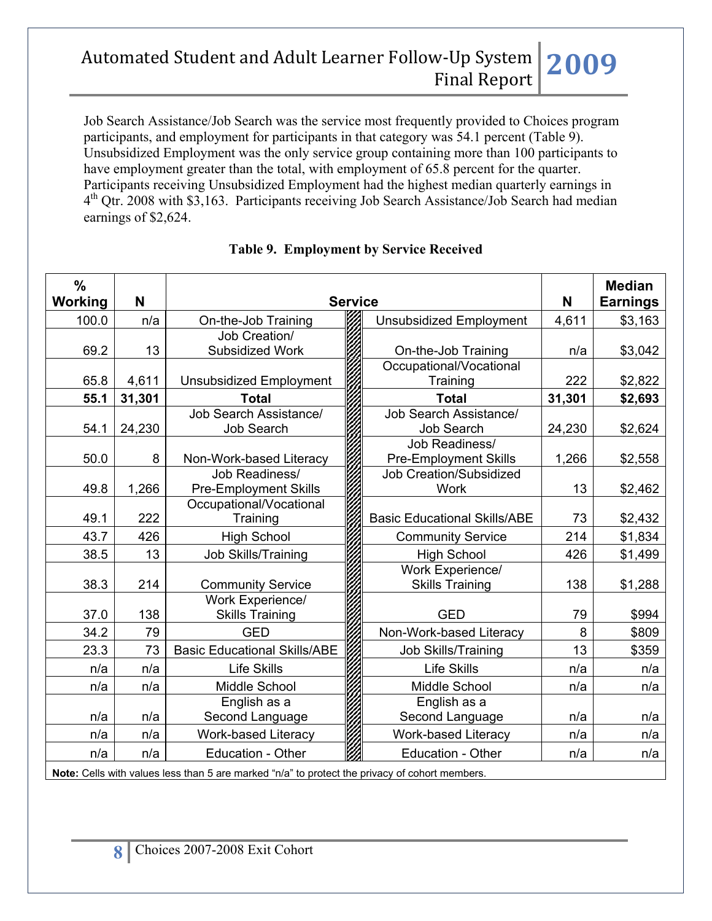Job Search Assistance/Job Search was the service most frequently provided to Choices program participants, and employment for participants in that category was 54.1 percent (Table 9). Unsubsidized Employment was the only service group containing more than 100 participants to have employment greater than the total, with employment of 65.8 percent for the quarter. Participants receiving Unsubsidized Employment had the highest median quarterly earnings in 4th Qtr. 2008 with \$3,163. Participants receiving Job Search Assistance/Job Search had median earnings of \$2,624.

| $\frac{0}{0}$<br><b>Working</b> | N      | <b>Service</b>                                 |                                                | N      | <b>Median</b><br><b>Earnings</b> |
|---------------------------------|--------|------------------------------------------------|------------------------------------------------|--------|----------------------------------|
| 100.0                           | n/a    | On-the-Job Training                            | <b>Unsubsidized Employment</b>                 | 4,611  | \$3,163                          |
| 69.2                            | 13     | Job Creation/<br>Subsidized Work               | On-the-Job Training                            | n/a    | \$3,042                          |
| 65.8                            | 4,611  | <b>Unsubsidized Employment</b>                 | Occupational/Vocational<br>Training            | 222    | \$2,822                          |
| 55.1                            | 31,301 | <b>Total</b>                                   | <b>Total</b>                                   | 31,301 | \$2,693                          |
| 54.1                            | 24,230 | Job Search Assistance/<br>Job Search           | Job Search Assistance/<br>Job Search           | 24,230 | \$2,624                          |
| 50.0                            | 8      | Non-Work-based Literacy                        | Job Readiness/<br><b>Pre-Employment Skills</b> | 1,266  | \$2,558                          |
| 49.8                            | 1,266  | Job Readiness/<br><b>Pre-Employment Skills</b> | Job Creation/Subsidized<br><b>Work</b>         | 13     | \$2,462                          |
| 49.1                            | 222    | Occupational/Vocational<br>Training            | <b>Basic Educational Skills/ABE</b>            | 73     | \$2,432                          |
| 43.7                            | 426    | <b>High School</b>                             | <b>Community Service</b>                       | 214    | \$1,834                          |
| 38.5                            | 13     | <b>Job Skills/Training</b>                     | <b>High School</b>                             | 426    | \$1,499                          |
| 38.3                            | 214    | <b>Community Service</b>                       | Work Experience/<br><b>Skills Training</b>     | 138    | \$1,288                          |
| 37.0                            | 138    | Work Experience/<br><b>Skills Training</b>     | <b>GED</b>                                     | 79     | \$994                            |
| 34.2                            | 79     | <b>GED</b>                                     | Non-Work-based Literacy                        | 8      | \$809                            |
| 23.3                            | 73     | <b>Basic Educational Skills/ABE</b>            | <b>Job Skills/Training</b>                     | 13     | \$359                            |
| n/a                             | n/a    | <b>Life Skills</b>                             | <b>Life Skills</b>                             | n/a    | n/a                              |
| n/a                             | n/a    | Middle School                                  | Middle School                                  | n/a    | n/a                              |
| n/a                             | n/a    | English as a<br>Second Language                | English as a<br>Second Language                | n/a    | n/a                              |
| n/a                             | n/a    | <b>Work-based Literacy</b>                     | <b>Work-based Literacy</b>                     | n/a    | n/a                              |
| n/a                             | n/a    | Education - Other                              | Education - Other                              | n/a    | n/a                              |

### **Table 9. Employment by Service Received**

**Note:** Cells with values less than 5 are marked "n/a" to protect the privacy of cohort members.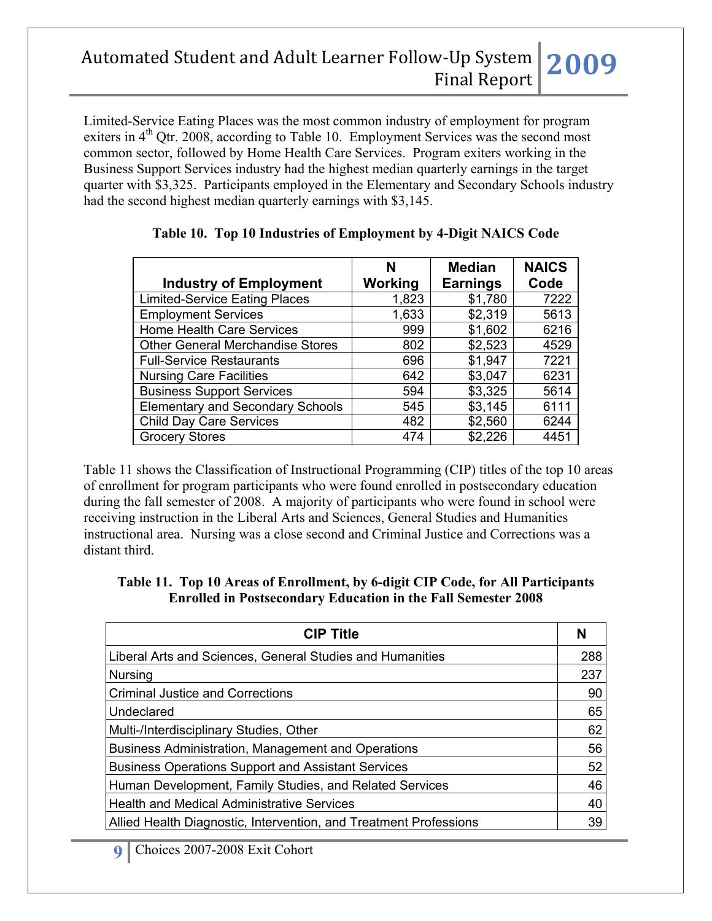Limited-Service Eating Places was the most common industry of employment for program exiters in  $4<sup>th</sup>$  Qtr. 2008, according to Table 10. Employment Services was the second most common sector, followed by Home Health Care Services. Program exiters working in the Business Support Services industry had the highest median quarterly earnings in the target quarter with \$3,325. Participants employed in the Elementary and Secondary Schools industry had the second highest median quarterly earnings with \$3,145.

|                                         | N       | <b>Median</b>   | <b>NAICS</b> |
|-----------------------------------------|---------|-----------------|--------------|
| <b>Industry of Employment</b>           | Working | <b>Earnings</b> | Code         |
| <b>Limited-Service Eating Places</b>    | 1,823   | \$1,780         | 7222         |
| <b>Employment Services</b>              | 1,633   | \$2,319         | 5613         |
| Home Health Care Services               | 999     | \$1,602         | 6216         |
| <b>Other General Merchandise Stores</b> | 802     | \$2,523         | 4529         |
| <b>Full-Service Restaurants</b>         | 696     | \$1,947         | 7221         |
| <b>Nursing Care Facilities</b>          | 642     | \$3,047         | 6231         |
| <b>Business Support Services</b>        | 594     | \$3,325         | 5614         |
| <b>Elementary and Secondary Schools</b> | 545     | \$3,145         | 6111         |
| <b>Child Day Care Services</b>          | 482     | \$2,560         | 6244         |
| <b>Grocery Stores</b>                   | 474     | \$2,226         | 4451         |

### **Table 10. Top 10 Industries of Employment by 4-Digit NAICS Code**

Table 11 shows the Classification of Instructional Programming (CIP) titles of the top 10 areas of enrollment for program participants who were found enrolled in postsecondary education during the fall semester of 2008. A majority of participants who were found in school were receiving instruction in the Liberal Arts and Sciences, General Studies and Humanities instructional area. Nursing was a close second and Criminal Justice and Corrections was a distant third.

#### **Table 11. Top 10 Areas of Enrollment, by 6-digit CIP Code, for All Participants Enrolled in Postsecondary Education in the Fall Semester 2008**

| <b>CIP Title</b>                                                  | N   |
|-------------------------------------------------------------------|-----|
| Liberal Arts and Sciences, General Studies and Humanities         | 288 |
| Nursing                                                           | 237 |
| <b>Criminal Justice and Corrections</b>                           | 90  |
| Undeclared                                                        | 65  |
| Multi-/Interdisciplinary Studies, Other                           | 62  |
| Business Administration, Management and Operations                | 56  |
| <b>Business Operations Support and Assistant Services</b>         | 52  |
| Human Development, Family Studies, and Related Services           | 46  |
| <b>Health and Medical Administrative Services</b>                 | 40  |
| Allied Health Diagnostic, Intervention, and Treatment Professions | 39  |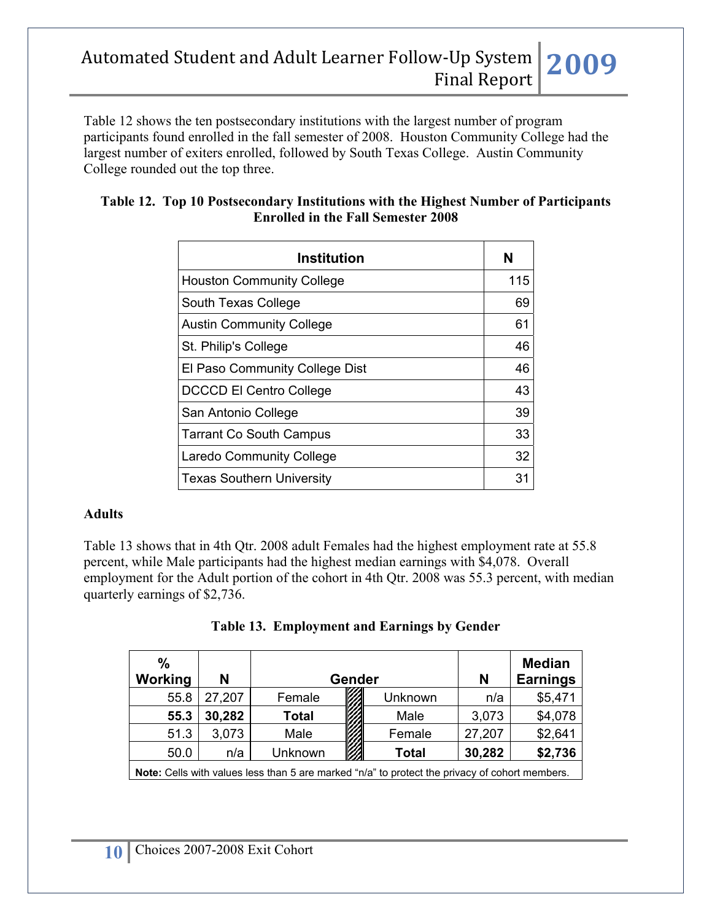Table 12 shows the ten postsecondary institutions with the largest number of program participants found enrolled in the fall semester of 2008. Houston Community College had the largest number of exiters enrolled, followed by South Texas College. Austin Community College rounded out the top three.

| N<br>115 |
|----------|
|          |
|          |
| 69       |
| 61       |
| 46       |
| 46       |
| 43       |
| 39       |
| 33       |
| 32       |
| 31       |
|          |

#### **Table 12. Top 10 Postsecondary Institutions with the Highest Number of Participants Enrolled in the Fall Semester 2008**

#### **Adults**

Table 13 shows that in 4th Qtr. 2008 adult Females had the highest employment rate at 55.8 percent, while Male participants had the highest median earnings with \$4,078. Overall employment for the Adult portion of the cohort in 4th Qtr. 2008 was 55.3 percent, with median quarterly earnings of \$2,736.

|  | Table 13. Employment and Earnings by Gender |  |  |
|--|---------------------------------------------|--|--|
|--|---------------------------------------------|--|--|

| $\frac{0}{0}$<br>Working                                                                              | N      |              | Gender |              | N      | <b>Median</b><br><b>Earnings</b> |
|-------------------------------------------------------------------------------------------------------|--------|--------------|--------|--------------|--------|----------------------------------|
| 55.8                                                                                                  | 27,207 | Female       |        | Unknown      | n/a    | \$5,471                          |
| 55.3                                                                                                  | 30,282 | <b>Total</b> |        | Male         | 3,073  | \$4,078                          |
| 51.3                                                                                                  | 3,073  | Male         |        | Female       | 27,207 | \$2,641                          |
| 50.0                                                                                                  | n/a    | Unknown      |        | <b>Total</b> | 30,282 | \$2,736                          |
| <b>Note:</b> Cells with values less than 5 are marked "n/a" to protect the privacy of cohort members. |        |              |        |              |        |                                  |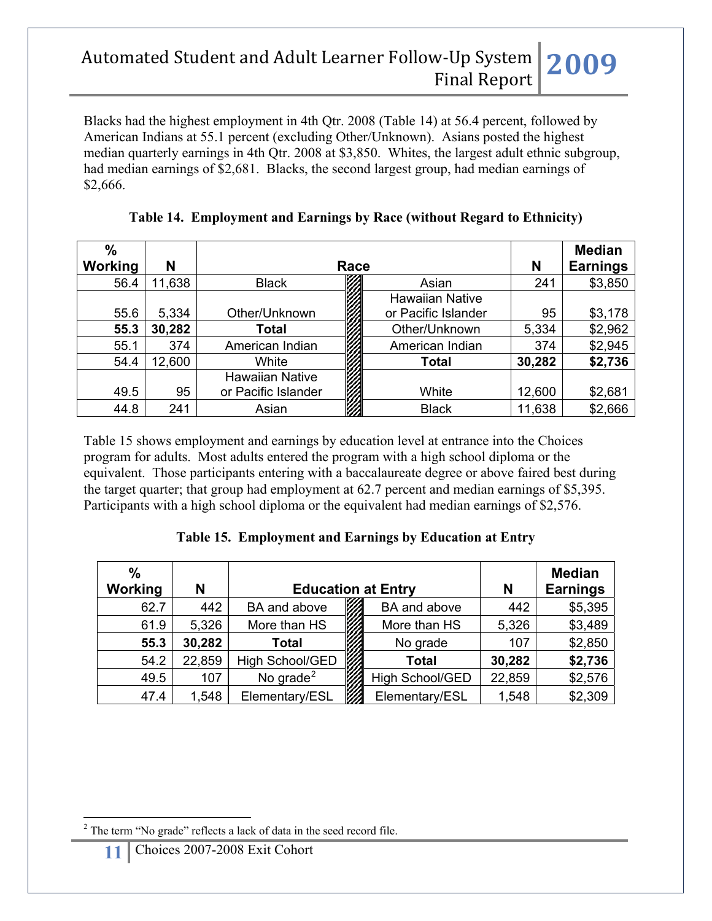Blacks had the highest employment in 4th Qtr. 2008 (Table 14) at 56.4 percent, followed by American Indians at 55.1 percent (excluding Other/Unknown). Asians posted the highest median quarterly earnings in 4th Qtr. 2008 at \$3,850. Whites, the largest adult ethnic subgroup, had median earnings of \$2,681. Blacks, the second largest group, had median earnings of \$2,666.

| $\frac{0}{0}$<br>Working | N      |                        | Race                   | N      | <b>Median</b><br><b>Earnings</b> |
|--------------------------|--------|------------------------|------------------------|--------|----------------------------------|
|                          |        |                        |                        |        |                                  |
| 56.4                     | 11,638 | <b>Black</b>           | Asian                  | 241    | \$3,850                          |
|                          |        |                        | <b>Hawaiian Native</b> |        |                                  |
| 55.6                     | 5,334  | Other/Unknown          | or Pacific Islander    | 95     | \$3,178                          |
| 55.3                     | 30,282 | Total                  | Other/Unknown          | 5,334  | \$2,962                          |
| 55.1                     | 374    | American Indian        | American Indian        | 374    | \$2,945                          |
| 54.4                     | 12,600 | White                  | Total                  | 30,282 | \$2,736                          |
|                          |        | <b>Hawaiian Native</b> |                        |        |                                  |
| 49.5                     | 95     | or Pacific Islander    | White                  | 12,600 | \$2,681                          |
| 44.8                     | 241    | Asian                  | <b>Black</b>           | 11,638 | \$2,666                          |

**Table 14. Employment and Earnings by Race (without Regard to Ethnicity)**

Table 15 shows employment and earnings by education level at entrance into the Choices program for adults. Most adults entered the program with a high school diploma or the equivalent. Those participants entering with a baccalaureate degree or above faired best during the target quarter; that group had employment at 62.7 percent and median earnings of \$5,395. Participants with a high school diploma or the equivalent had median earnings of \$2,576.

### **Table 15. Employment and Earnings by Education at Entry**

| $\%$<br>Working | N      | <b>Education at Entry</b> |                        | N      | <b>Median</b><br><b>Earnings</b> |
|-----------------|--------|---------------------------|------------------------|--------|----------------------------------|
| 62.7            | 442    | BA and above              | BA and above           | 442    | \$5,395                          |
| 61.9            | 5,326  | More than HS              | More than HS           | 5,326  | \$3,489                          |
| 55.3            | 30,282 | <b>Total</b>              | No grade               | 107    | \$2,850                          |
| 54.2            | 22,859 | High School/GED           | <b>Total</b>           | 30,282 | \$2,736                          |
| 49.5            | 107    | No grade $2$              | <b>High School/GED</b> | 22,859 | \$2,576                          |
| 47.4            | 1,548  | Elementary/ESL            | Elementary/ESL         | 1,548  | \$2,309                          |

**11** Choices 2007-2008 Exit Cohort

 $\overline{a}$ 

<span id="page-10-0"></span> $2^2$  The term "No grade" reflects a lack of data in the seed record file.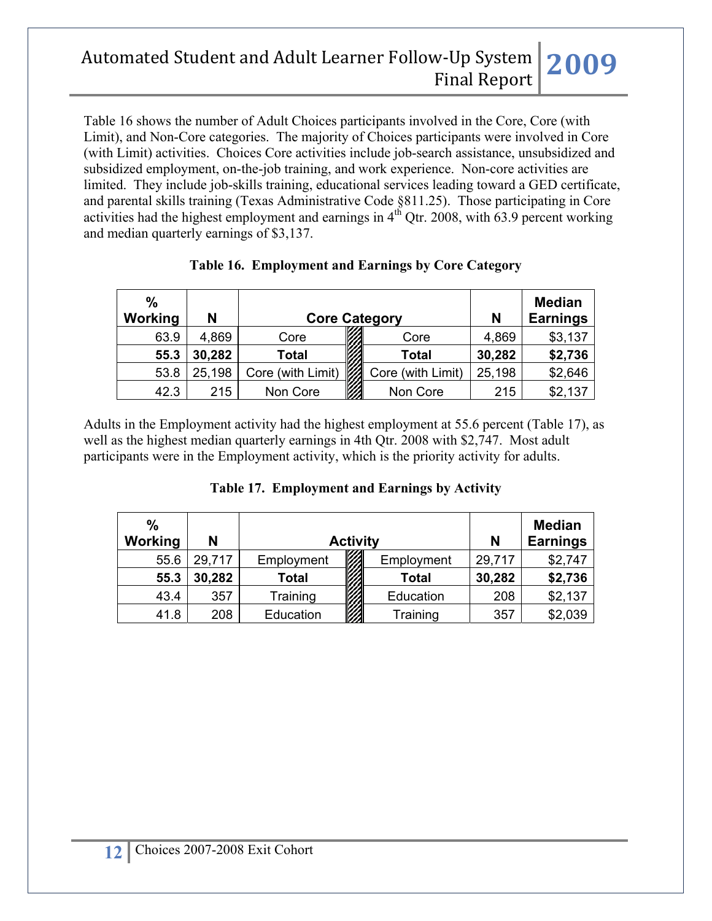Table 16 shows the number of Adult Choices participants involved in the Core, Core (with Limit), and Non-Core categories. The majority of Choices participants were involved in Core (with Limit) activities. Choices Core activities include job-search assistance, unsubsidized and subsidized employment, on-the-job training, and work experience. Non-core activities are limited. They include job-skills training, educational services leading toward a GED certificate, and parental skills training (Texas Administrative Code §811.25). Those participating in Core activities had the highest employment and earnings in  $4<sup>th</sup>$  Qtr. 2008, with 63.9 percent working and median quarterly earnings of \$3,137.

| $\frac{0}{0}$<br>Working | N      |                   | <b>Core Category</b> | N      | <b>Median</b><br><b>Earnings</b> |
|--------------------------|--------|-------------------|----------------------|--------|----------------------------------|
| 63.9                     | 4,869  | Core              | Core                 | 4,869  | \$3,137                          |
| 55.3                     | 30,282 | <b>Total</b>      | <b>Total</b>         | 30,282 | \$2,736                          |
| 53.8                     | 25,198 | Core (with Limit) | Core (with Limit)    | 25,198 | \$2,646                          |
| 42.3                     | 215    | Non Core          | Non Core             | 215    | \$2,137                          |

### **Table 16. Employment and Earnings by Core Category**

Adults in the Employment activity had the highest employment at 55.6 percent (Table 17), as well as the highest median quarterly earnings in 4th Qtr. 2008 with \$2,747. Most adult participants were in the Employment activity, which is the priority activity for adults.

| $\%$<br>Working | N      |              | <b>Activity</b> |            | N      | <b>Median</b><br><b>Earnings</b> |
|-----------------|--------|--------------|-----------------|------------|--------|----------------------------------|
| 55.6            | 29,717 | Employment   |                 | Employment | 29,717 | \$2,747                          |
| 55.3            | 30,282 | <b>Total</b> | 27              | Total      | 30,282 | \$2,736                          |
| 43.4            | 357    | Training     |                 | Education  | 208    | \$2,137                          |
| 41.8            | 208    | Education    |                 | Training   | 357    | \$2,039                          |

#### **Table 17. Employment and Earnings by Activity**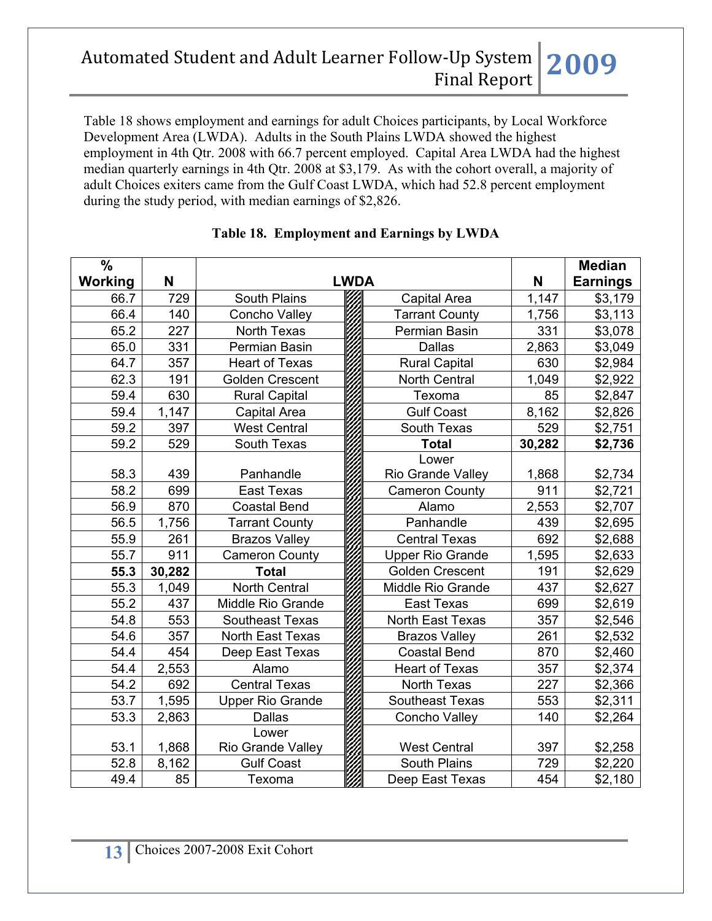Table 18 shows employment and earnings for adult Choices participants, by Local Workforce Development Area (LWDA). Adults in the South Plains LWDA showed the highest employment in 4th Qtr. 2008 with 66.7 percent employed. Capital Area LWDA had the highest median quarterly earnings in 4th Qtr. 2008 at \$3,179. As with the cohort overall, a majority of adult Choices exiters came from the Gulf Coast LWDA, which had 52.8 percent employment during the study period, with median earnings of \$2,826.

| $\%$    |        |                         |  |                          |        | <b>Median</b>   |
|---------|--------|-------------------------|--|--------------------------|--------|-----------------|
| Working | N      | <b>LWDA</b>             |  |                          |        | <b>Earnings</b> |
| 66.7    | 729    | South Plains            |  | Capital Area             | 1,147  | \$3,179         |
| 66.4    | 140    | Concho Valley           |  | <b>Tarrant County</b>    | 1,756  | \$3,113         |
| 65.2    | 227    | North Texas             |  | Permian Basin            | 331    | \$3,078         |
| 65.0    | 331    | Permian Basin           |  | <b>Dallas</b>            | 2,863  | \$3,049         |
| 64.7    | 357    | <b>Heart of Texas</b>   |  | <b>Rural Capital</b>     | 630    | \$2,984         |
| 62.3    | 191    | <b>Golden Crescent</b>  |  | <b>North Central</b>     | 1,049  | \$2,922         |
| 59.4    | 630    | <b>Rural Capital</b>    |  | Texoma                   | 85     | \$2,847         |
| 59.4    | 1,147  | Capital Area            |  | <b>Gulf Coast</b>        | 8,162  | \$2,826         |
| 59.2    | 397    | <b>West Central</b>     |  | South Texas              | 529    | \$2,751         |
| 59.2    | 529    | South Texas             |  | <b>Total</b>             | 30,282 | \$2,736         |
|         |        |                         |  | Lower                    |        |                 |
| 58.3    | 439    | Panhandle               |  | Rio Grande Valley        | 1,868  | \$2,734         |
| 58.2    | 699    | <b>East Texas</b>       |  | <b>Cameron County</b>    | 911    | \$2,721         |
| 56.9    | 870    | <b>Coastal Bend</b>     |  | Alamo                    | 2,553  | \$2,707         |
| 56.5    | 1,756  | <b>Tarrant County</b>   |  | Panhandle                | 439    | \$2,695         |
| 55.9    | 261    | <b>Brazos Valley</b>    |  | <b>Central Texas</b>     | 692    | \$2,688         |
| 55.7    | 911    | <b>Cameron County</b>   |  | <b>Upper Rio Grande</b>  | 1,595  | \$2,633         |
| 55.3    | 30,282 | <b>Total</b>            |  | <b>Golden Crescent</b>   | 191    | \$2,629         |
| 55.3    | 1,049  | <b>North Central</b>    |  | <b>Middle Rio Grande</b> | 437    | \$2,627         |
| 55.2    | 437    | Middle Rio Grande       |  | <b>East Texas</b>        | 699    | \$2,619         |
| 54.8    | 553    | <b>Southeast Texas</b>  |  | North East Texas         | 357    | \$2,546         |
| 54.6    | 357    | North East Texas        |  | <b>Brazos Valley</b>     | 261    | \$2,532         |
| 54.4    | 454    | Deep East Texas         |  | <b>Coastal Bend</b>      | 870    | \$2,460         |
| 54.4    | 2,553  | Alamo                   |  | <b>Heart of Texas</b>    | 357    | \$2,374         |
| 54.2    | 692    | <b>Central Texas</b>    |  | North Texas              | 227    | \$2,366         |
| 53.7    | 1,595  | <b>Upper Rio Grande</b> |  | Southeast Texas          | 553    | \$2,311         |
| 53.3    | 2,863  | <b>Dallas</b>           |  | Concho Valley            | 140    | \$2,264         |
|         |        | Lower                   |  |                          |        |                 |
| 53.1    | 1,868  | Rio Grande Valley       |  | <b>West Central</b>      | 397    | \$2,258         |
| 52.8    | 8,162  | <b>Gulf Coast</b>       |  | South Plains             | 729    | \$2,220         |
| 49.4    | 85     | Texoma                  |  | Deep East Texas          | 454    | \$2,180         |

### **Table 18. Employment and Earnings by LWDA**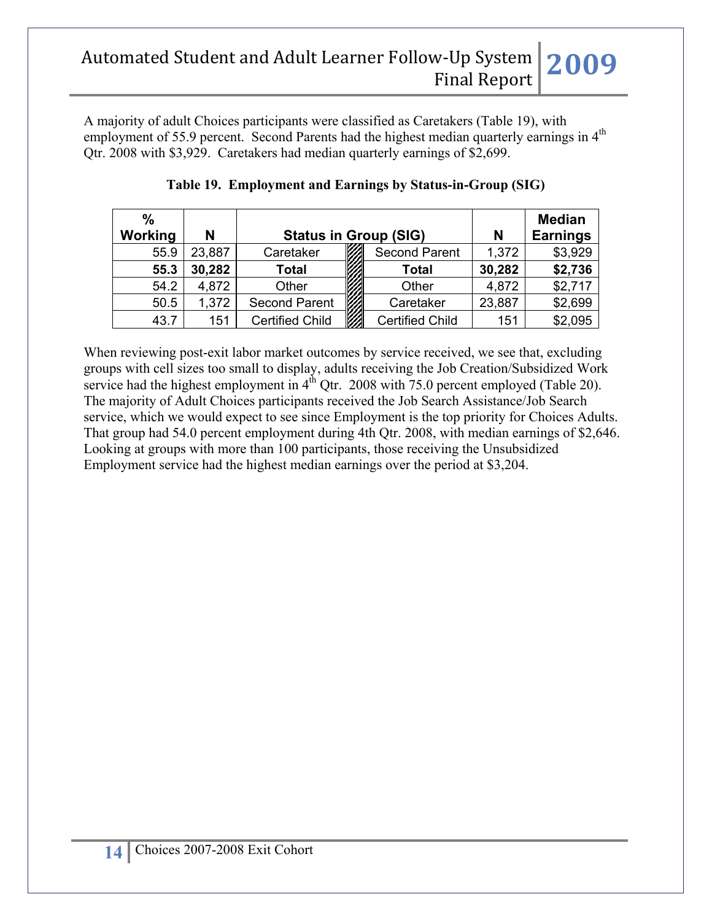A majority of adult Choices participants were classified as Caretakers (Table 19), with employment of 55.9 percent. Second Parents had the highest median quarterly earnings in 4<sup>th</sup> Qtr. 2008 with \$3,929. Caretakers had median quarterly earnings of \$2,699.

| $\frac{0}{0}$ |        |                              |                        |                 | <b>Median</b> |
|---------------|--------|------------------------------|------------------------|-----------------|---------------|
| Working       | N      | <b>Status in Group (SIG)</b> | N                      | <b>Earnings</b> |               |
| 55.9          | 23,887 | Caretaker                    | <b>Second Parent</b>   | 1,372           | \$3,929       |
| 55.3          | 30,282 | <b>Total</b>                 | <b>Total</b>           | 30,282          | \$2,736       |
| 54.2          | 4,872  | Other                        | Other                  | 4,872           | \$2,717       |
| 50.5          | 1,372  | <b>Second Parent</b>         | Caretaker              | 23,887          | \$2,699       |
| 43.7          | 151    | <b>Certified Child</b>       | <b>Certified Child</b> | 151             | \$2,095       |

|  |  |  | Table 19. Employment and Earnings by Status-in-Group (SIG) |  |
|--|--|--|------------------------------------------------------------|--|
|--|--|--|------------------------------------------------------------|--|

When reviewing post-exit labor market outcomes by service received, we see that, excluding groups with cell sizes too small to display, adults receiving the Job Creation/Subsidized Work service had the highest employment in  $4^{th}$  Otr. 2008 with 75.0 percent employed (Table 20). The majority of Adult Choices participants received the Job Search Assistance/Job Search service, which we would expect to see since Employment is the top priority for Choices Adults. That group had 54.0 percent employment during 4th Qtr. 2008, with median earnings of \$2,646. Looking at groups with more than 100 participants, those receiving the Unsubsidized Employment service had the highest median earnings over the period at \$3,204.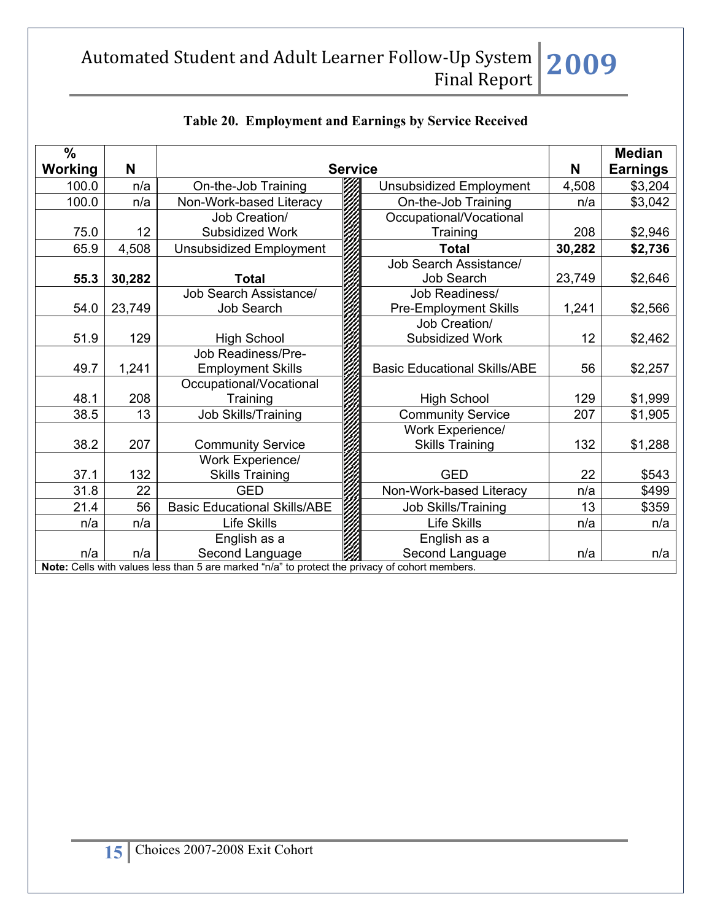| $\frac{0}{0}$  |                                                                                                |                                     |                |                                     |        | <b>Median</b>   |  |  |
|----------------|------------------------------------------------------------------------------------------------|-------------------------------------|----------------|-------------------------------------|--------|-----------------|--|--|
| <b>Working</b> | N                                                                                              |                                     | <b>Service</b> |                                     | N      | <b>Earnings</b> |  |  |
| 100.0          | n/a                                                                                            | On-the-Job Training                 |                | <b>Unsubsidized Employment</b>      | 4,508  | \$3,204         |  |  |
| 100.0          | n/a                                                                                            | Non-Work-based Literacy             |                | On-the-Job Training                 | n/a    | \$3,042         |  |  |
|                |                                                                                                | Job Creation/                       |                | Occupational/Vocational             |        |                 |  |  |
| 75.0           | 12                                                                                             | Subsidized Work                     |                | Training                            | 208    | \$2,946         |  |  |
| 65.9           | 4,508                                                                                          | <b>Unsubsidized Employment</b>      |                | <b>Total</b>                        | 30,282 | \$2,736         |  |  |
|                |                                                                                                |                                     |                | Job Search Assistance/              |        |                 |  |  |
| 55.3           | 30,282                                                                                         | <b>Total</b>                        |                | <b>Job Search</b>                   | 23,749 | \$2,646         |  |  |
|                |                                                                                                | Job Search Assistance/              |                | Job Readiness/                      |        |                 |  |  |
| 54.0           | 23,749                                                                                         | <b>Job Search</b>                   |                | <b>Pre-Employment Skills</b>        | 1,241  | \$2,566         |  |  |
|                |                                                                                                |                                     |                | Job Creation/                       |        |                 |  |  |
| 51.9           | 129                                                                                            | <b>High School</b>                  |                | Subsidized Work                     | 12     | \$2,462         |  |  |
|                |                                                                                                | Job Readiness/Pre-                  |                |                                     |        |                 |  |  |
| 49.7           | 1,241                                                                                          | <b>Employment Skills</b>            |                | <b>Basic Educational Skills/ABE</b> | 56     | \$2,257         |  |  |
|                |                                                                                                | Occupational/Vocational             |                |                                     |        |                 |  |  |
| 48.1           | 208                                                                                            | Training                            |                | <b>High School</b>                  | 129    | \$1,999         |  |  |
| 38.5           | 13                                                                                             | <b>Job Skills/Training</b>          |                | <b>Community Service</b>            | 207    | \$1,905         |  |  |
|                |                                                                                                |                                     |                | Work Experience/                    |        |                 |  |  |
| 38.2           | 207                                                                                            | <b>Community Service</b>            |                | <b>Skills Training</b>              | 132    | \$1,288         |  |  |
|                |                                                                                                | Work Experience/                    |                |                                     |        |                 |  |  |
| 37.1           | 132                                                                                            | <b>Skills Training</b>              |                | <b>GED</b>                          | 22     | \$543           |  |  |
| 31.8           | 22                                                                                             | <b>GED</b>                          |                | Non-Work-based Literacy             | n/a    | \$499           |  |  |
| 21.4           | 56                                                                                             | <b>Basic Educational Skills/ABE</b> |                | Job Skills/Training                 | 13     | \$359           |  |  |
| n/a            | n/a                                                                                            | Life Skills                         |                | Life Skills                         | n/a    | n/a             |  |  |
|                |                                                                                                | English as a                        |                | English as a                        |        |                 |  |  |
| n/a            | n/a                                                                                            | Second Language                     |                | Second Language                     | n/a    | n/a             |  |  |
|                | Note: Cells with values less than 5 are marked "n/a" to protect the privacy of cohort members. |                                     |                |                                     |        |                 |  |  |

### **Table 20. Employment and Earnings by Service Received**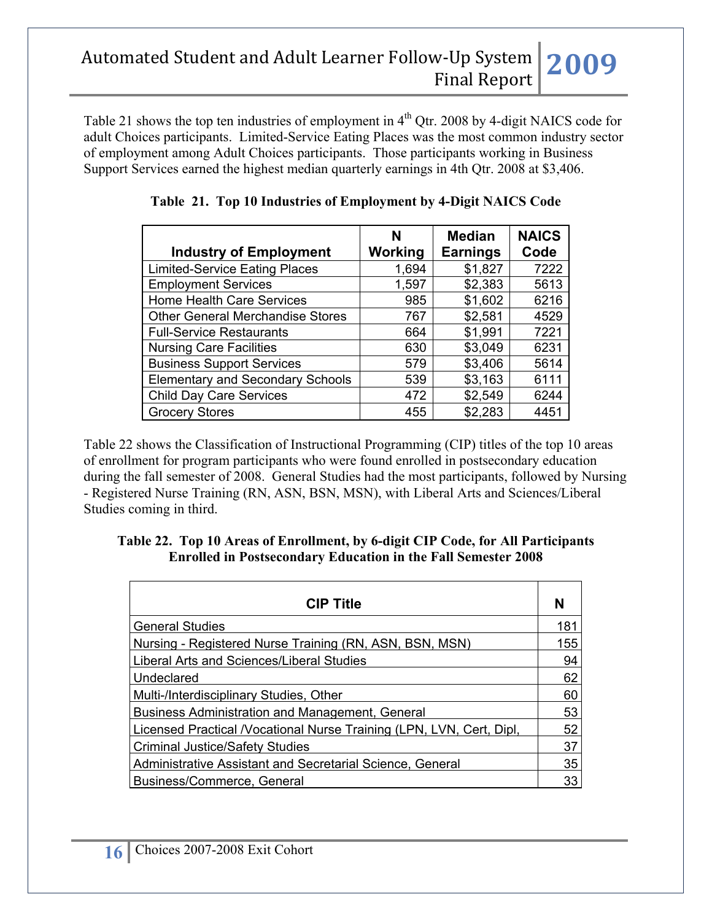Table 21 shows the top ten industries of employment in 4<sup>th</sup> Qtr. 2008 by 4-digit NAICS code for adult Choices participants. Limited-Service Eating Places was the most common industry sector of employment among Adult Choices participants. Those participants working in Business Support Services earned the highest median quarterly earnings in 4th Qtr. 2008 at \$3,406.

|                                         | N<br>Working | <b>Median</b><br><b>Earnings</b> | <b>NAICS</b><br>Code |
|-----------------------------------------|--------------|----------------------------------|----------------------|
| <b>Industry of Employment</b>           |              |                                  |                      |
| <b>Limited-Service Eating Places</b>    | 1,694        | \$1,827                          | 7222                 |
| <b>Employment Services</b>              | 1,597        | \$2,383                          | 5613                 |
| <b>Home Health Care Services</b>        | 985          | \$1,602                          | 6216                 |
| <b>Other General Merchandise Stores</b> | 767          | \$2,581                          | 4529                 |
| <b>Full-Service Restaurants</b>         | 664          | \$1,991                          | 7221                 |
| <b>Nursing Care Facilities</b>          | 630          | \$3,049                          | 6231                 |
| <b>Business Support Services</b>        | 579          | \$3,406                          | 5614                 |
| <b>Elementary and Secondary Schools</b> | 539          | \$3,163                          | 6111                 |
| <b>Child Day Care Services</b>          | 472          | \$2,549                          | 6244                 |
| <b>Grocery Stores</b>                   | 455          | \$2,283                          | 4451                 |

**Table 21. Top 10 Industries of Employment by 4-Digit NAICS Code**

Table 22 shows the Classification of Instructional Programming (CIP) titles of the top 10 areas of enrollment for program participants who were found enrolled in postsecondary education during the fall semester of 2008. General Studies had the most participants, followed by Nursing - Registered Nurse Training (RN, ASN, BSN, MSN), with Liberal Arts and Sciences/Liberal Studies coming in third.

### **Table 22. Top 10 Areas of Enrollment, by 6-digit CIP Code, for All Participants Enrolled in Postsecondary Education in the Fall Semester 2008**

| <b>CIP Title</b>                                                      | N   |
|-----------------------------------------------------------------------|-----|
| <b>General Studies</b>                                                | 181 |
| Nursing - Registered Nurse Training (RN, ASN, BSN, MSN)               | 155 |
| Liberal Arts and Sciences/Liberal Studies                             | 94  |
| Undeclared                                                            | 62  |
| Multi-/Interdisciplinary Studies, Other                               | 60  |
| <b>Business Administration and Management, General</b>                | 53  |
| Licensed Practical / Vocational Nurse Training (LPN, LVN, Cert, Dipl, | 52  |
| <b>Criminal Justice/Safety Studies</b>                                | 37  |
| Administrative Assistant and Secretarial Science, General             | 35  |
| Business/Commerce, General                                            | 33  |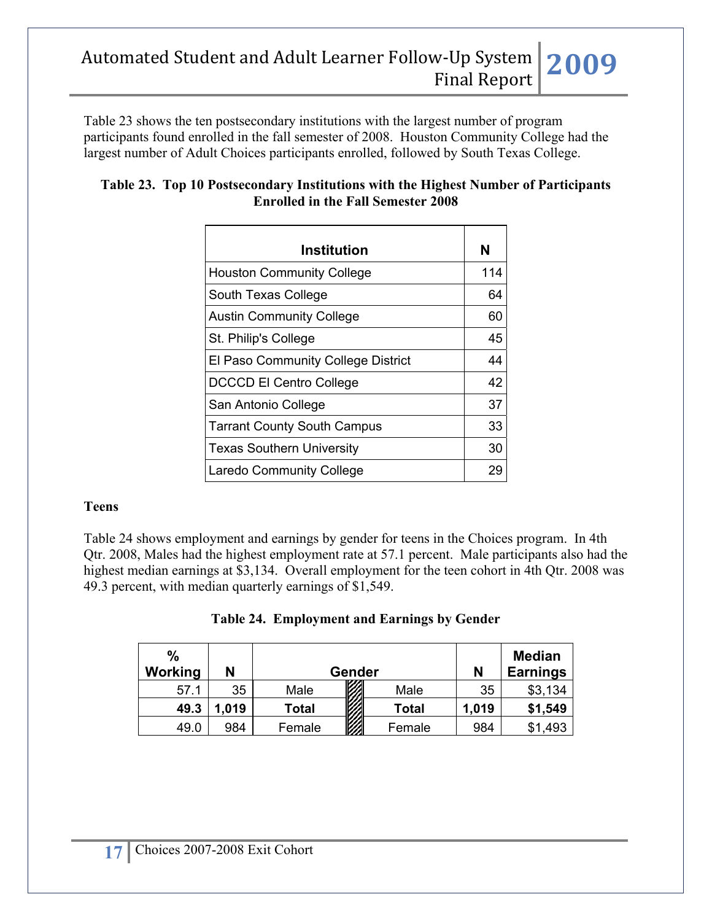Table 23 shows the ten postsecondary institutions with the largest number of program participants found enrolled in the fall semester of 2008. Houston Community College had the largest number of Adult Choices participants enrolled, followed by South Texas College.

| Table 23. Top 10 Postsecondary Institutions with the Highest Number of Participants |
|-------------------------------------------------------------------------------------|
| <b>Enrolled in the Fall Semester 2008</b>                                           |

| Institution                               | N   |
|-------------------------------------------|-----|
| <b>Houston Community College</b>          | 114 |
| South Texas College                       | 64  |
| <b>Austin Community College</b>           | 60  |
| St. Philip's College                      | 45  |
| <b>El Paso Community College District</b> | 44  |
| <b>DCCCD El Centro College</b>            | 42  |
| San Antonio College                       | 37  |
| <b>Tarrant County South Campus</b>        | 33  |
| <b>Texas Southern University</b>          | 30  |
| <b>Laredo Community College</b>           | 29  |

#### **Teens**

Table 24 shows employment and earnings by gender for teens in the Choices program. In 4th Qtr. 2008, Males had the highest employment rate at 57.1 percent. Male participants also had the highest median earnings at \$3,134. Overall employment for the teen cohort in 4th Qtr. 2008 was 49.3 percent, with median quarterly earnings of \$1,549.

|  | <b>Table 24. Employment and Earnings by Gender</b> |  |  |
|--|----------------------------------------------------|--|--|
|--|----------------------------------------------------|--|--|

| $\frac{0}{0}$<br>Working | N     |        | Gender       | N     | <b>Median</b><br><b>Earnings</b> |
|--------------------------|-------|--------|--------------|-------|----------------------------------|
| 57.1                     | 35    | Male   | Male         | 35    | \$3,134                          |
| 49.3                     | 1,019 | Total  | <b>Total</b> | 1,019 | \$1,549                          |
| 49.0                     | 984   | Female | Female       | 984   | \$1,493                          |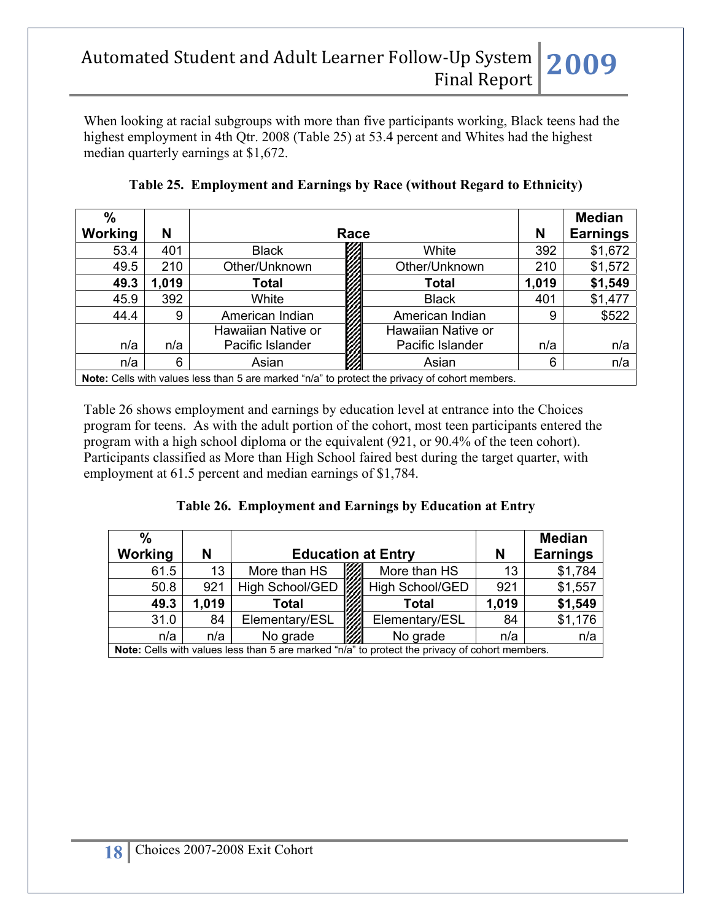When looking at racial subgroups with more than five participants working, Black teens had the highest employment in 4th Qtr. 2008 (Table 25) at 53.4 percent and Whites had the highest median quarterly earnings at \$1,672.

| $\frac{0}{0}$<br><b>Working</b> | N     | Race                                                                                                  |                    | N     | <b>Median</b><br><b>Earnings</b> |
|---------------------------------|-------|-------------------------------------------------------------------------------------------------------|--------------------|-------|----------------------------------|
| 53.4                            | 401   | <b>Black</b>                                                                                          | White              | 392   | \$1,672                          |
| 49.5                            | 210   | Other/Unknown                                                                                         | Other/Unknown      | 210   | \$1,572                          |
| 49.3                            | 1,019 | Total                                                                                                 | <b>Total</b>       | 1,019 | \$1,549                          |
| 45.9                            | 392   | White                                                                                                 | <b>Black</b>       | 401   | \$1,477                          |
| 44.4                            | 9     | American Indian                                                                                       | American Indian    | 9     | \$522                            |
|                                 |       | Hawaiian Native or                                                                                    | Hawaiian Native or |       |                                  |
| n/a                             | n/a   | Pacific Islander                                                                                      | Pacific Islander   | n/a   | n/a                              |
| n/a                             | 6     | Asian                                                                                                 | Asian              | 6     | n/a                              |
|                                 |       | <b>Note:</b> Cells with values less than 5 are marked "n/a" to protect the privacy of cohort members. |                    |       |                                  |

**Table 25. Employment and Earnings by Race (without Regard to Ethnicity)**

Table 26 shows employment and earnings by education level at entrance into the Choices program for teens. As with the adult portion of the cohort, most teen participants entered the program with a high school diploma or the equivalent (921, or 90.4% of the teen cohort). Participants classified as More than High School faired best during the target quarter, with employment at 61.5 percent and median earnings of \$1,784.

### **Table 26. Employment and Earnings by Education at Entry**

| $\frac{0}{0}$ |       |                                                                                                |                   |       | <b>Median</b>   |
|---------------|-------|------------------------------------------------------------------------------------------------|-------------------|-------|-----------------|
| Working       | N     | <b>Education at Entry</b>                                                                      |                   | N     | <b>Earnings</b> |
| 61.5          | 13    | More than HS                                                                                   | More than HS      | 13    | \$1,784         |
| 50.8          | 921   | High School/GED                                                                                | ▒ High School/GED | 921   | \$1,557         |
| 49.3          | 1,019 | Total                                                                                          | Total             | 1,019 | \$1,549         |
| 31.0          | 84    | Elementary/ESL                                                                                 | Elementary/ESL    | 84    | \$1,176         |
| n/a           | n/a   | No grade                                                                                       | No grade          | n/a   | n/a             |
|               |       | Note: Cells with values less than 5 are marked "n/a" to protect the privacy of cohort members. |                   |       |                 |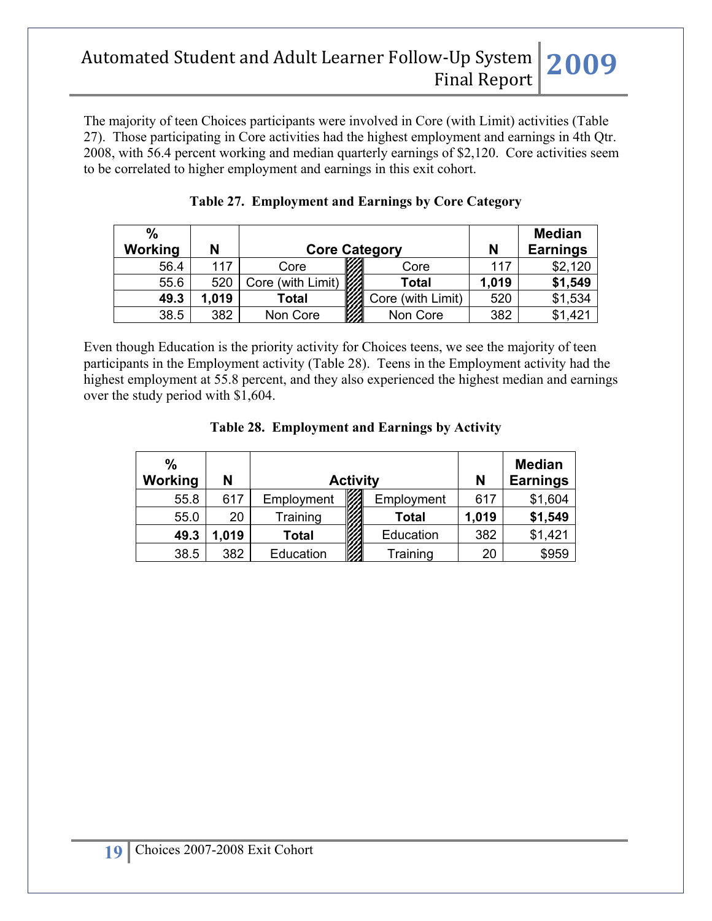The majority of teen Choices participants were involved in Core (with Limit) activities (Table 27). Those participating in Core activities had the highest employment and earnings in 4th Qtr. 2008, with 56.4 percent working and median quarterly earnings of \$2,120. Core activities seem to be correlated to higher employment and earnings in this exit cohort.

| $\%$    |       |                      |                   |       | <b>Median</b>   |
|---------|-------|----------------------|-------------------|-------|-----------------|
| Working | N     | <b>Core Category</b> |                   | N     | <b>Earnings</b> |
| 56.4    | 117   | Core                 | Core              | 117   | \$2,120         |
| 55.6    | 520   | Core (with Limit)    | <b>Total</b>      | 1,019 | \$1,549         |
| 49.3    | 1,019 | Total                | Core (with Limit) | 520   | \$1,534         |
| 38.5    | 382   | Non Core             | Non Core          | 382   | \$1,421         |

|  | Table 27. Employment and Earnings by Core Category |  |  |
|--|----------------------------------------------------|--|--|
|--|----------------------------------------------------|--|--|

Even though Education is the priority activity for Choices teens, we see the majority of teen participants in the Employment activity (Table 28). Teens in the Employment activity had the highest employment at 55.8 percent, and they also experienced the highest median and earnings over the study period with \$1,604.

|  |  | Table 28. Employment and Earnings by Activity |  |  |
|--|--|-----------------------------------------------|--|--|
|--|--|-----------------------------------------------|--|--|

| $\frac{0}{0}$<br>Working | N     |              | <b>Activity</b> |              | N     | <b>Median</b><br><b>Earnings</b> |
|--------------------------|-------|--------------|-----------------|--------------|-------|----------------------------------|
| 55.8                     | 617   | Employment   |                 | Employment   | 617   | \$1,604                          |
| 55.0                     | 20    | Training     |                 | <b>Total</b> | 1,019 | \$1,549                          |
| 49.3                     | 1,019 | <b>Total</b> |                 | Education    | 382   | \$1,421                          |
| 38.5                     | 382   | Education    |                 | Training     | 20    | \$959                            |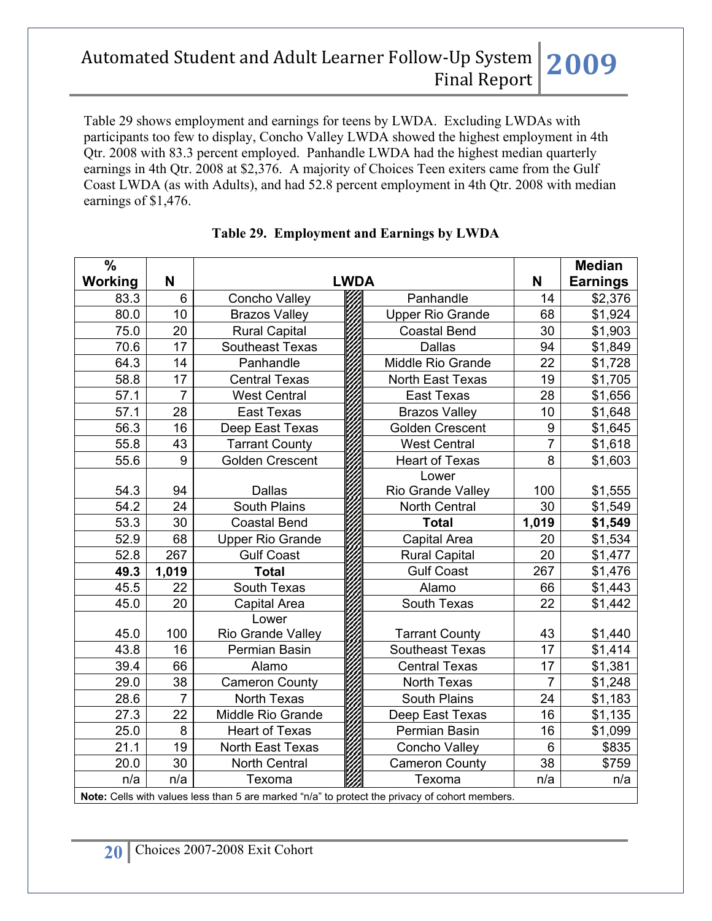Table 29 shows employment and earnings for teens by LWDA. Excluding LWDAs with participants too few to display, Concho Valley LWDA showed the highest employment in 4th Qtr. 2008 with 83.3 percent employed. Panhandle LWDA had the highest median quarterly earnings in 4th Qtr. 2008 at \$2,376. A majority of Choices Teen exiters came from the Gulf Coast LWDA (as with Adults), and had 52.8 percent employment in 4th Qtr. 2008 with median earnings of \$1,476.

| $\frac{0}{0}$<br>Working | N              |                                                                                                | <b>LWDA</b> |                         | N              | <b>Median</b><br><b>Earnings</b> |
|--------------------------|----------------|------------------------------------------------------------------------------------------------|-------------|-------------------------|----------------|----------------------------------|
| 83.3                     | $6\phantom{1}$ | Concho Valley                                                                                  |             | Panhandle               | 14             | \$2,376                          |
| 80.0                     | 10             | <b>Brazos Valley</b>                                                                           |             | <b>Upper Rio Grande</b> | 68             | \$1,924                          |
| 75.0                     | 20             | <b>Rural Capital</b>                                                                           |             | <b>Coastal Bend</b>     | 30             | \$1,903                          |
| 70.6                     | 17             | Southeast Texas                                                                                |             | <b>Dallas</b>           | 94             | \$1,849                          |
| 64.3                     | 14             | Panhandle                                                                                      |             | Middle Rio Grande       | 22             | \$1,728                          |
| 58.8                     | 17             | <b>Central Texas</b>                                                                           |             | North East Texas        | 19             | \$1,705                          |
| 57.1                     | $\overline{7}$ | <b>West Central</b>                                                                            |             | <b>East Texas</b>       | 28             | \$1,656                          |
| 57.1                     | 28             | <b>East Texas</b>                                                                              |             | <b>Brazos Valley</b>    | 10             | \$1,648                          |
| 56.3                     | 16             | Deep East Texas                                                                                |             | <b>Golden Crescent</b>  | 9              | \$1,645                          |
| 55.8                     | 43             | <b>Tarrant County</b>                                                                          |             | <b>West Central</b>     | $\overline{7}$ | \$1,618                          |
| 55.6                     | 9              | <b>Golden Crescent</b>                                                                         |             | <b>Heart of Texas</b>   | 8              | \$1,603                          |
|                          |                |                                                                                                |             | Lower                   |                |                                  |
| 54.3                     | 94             | <b>Dallas</b>                                                                                  |             | Rio Grande Valley       | 100            | \$1,555                          |
| 54.2                     | 24             | South Plains                                                                                   |             | <b>North Central</b>    | 30             | \$1,549                          |
| 53.3                     | 30             | <b>Coastal Bend</b>                                                                            |             | <b>Total</b>            | 1,019          | \$1,549                          |
| 52.9                     | 68             | <b>Upper Rio Grande</b>                                                                        |             | Capital Area            | 20             | \$1,534                          |
| 52.8                     | 267            | <b>Gulf Coast</b>                                                                              |             | <b>Rural Capital</b>    | 20             | \$1,477                          |
| 49.3                     | 1,019          | <b>Total</b>                                                                                   |             | <b>Gulf Coast</b>       | 267            | \$1,476                          |
| 45.5                     | 22             | South Texas                                                                                    |             | Alamo                   | 66             | \$1,443                          |
| 45.0                     | 20             | Capital Area                                                                                   |             | South Texas             | 22             | \$1,442                          |
|                          |                | Lower                                                                                          |             |                         |                |                                  |
| 45.0                     | 100            | Rio Grande Valley                                                                              |             | <b>Tarrant County</b>   | 43             | \$1,440                          |
| 43.8                     | 16             | Permian Basin                                                                                  |             | <b>Southeast Texas</b>  | 17             | \$1,414                          |
| 39.4                     | 66             | Alamo                                                                                          |             | <b>Central Texas</b>    | 17             | \$1,381                          |
| 29.0                     | 38             | <b>Cameron County</b>                                                                          |             | North Texas             | $\overline{7}$ | \$1,248                          |
| 28.6                     | $\overline{7}$ | North Texas                                                                                    |             | South Plains            | 24             | \$1,183                          |
| 27.3                     | 22             | Middle Rio Grande                                                                              |             | Deep East Texas         | 16             | \$1,135                          |
| 25.0                     | 8              | <b>Heart of Texas</b>                                                                          |             | Permian Basin           | 16             | \$1,099                          |
| 21.1                     | 19             | North East Texas                                                                               |             | Concho Valley           | 6              | \$835                            |
| 20.0                     | 30             | North Central                                                                                  |             | <b>Cameron County</b>   | 38             | \$759                            |
| n/a                      | n/a            | Texoma                                                                                         |             | Texoma                  | n/a            | n/a                              |
|                          |                | Note: Cells with values less than 5 are marked "n/a" to protect the privacy of cohort members. |             |                         |                |                                  |

### **Table 29. Employment and Earnings by LWDA**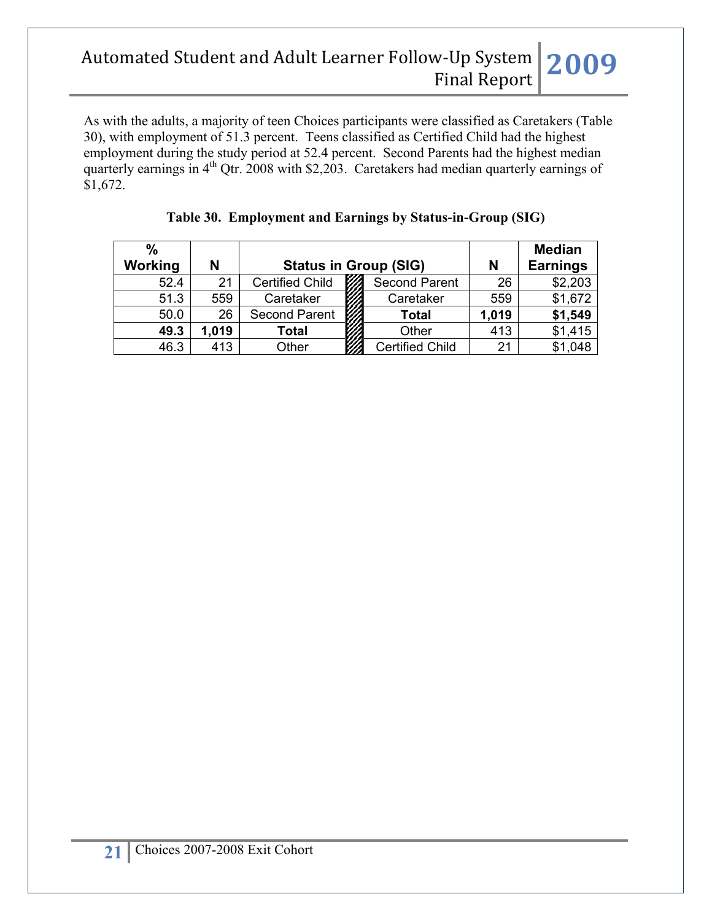As with the adults, a majority of teen Choices participants were classified as Caretakers (Table 30), with employment of 51.3 percent. Teens classified as Certified Child had the highest employment during the study period at 52.4 percent. Second Parents had the highest median quarterly earnings in  $4<sup>th</sup>$  Qtr. 2008 with \$2,203. Caretakers had median quarterly earnings of \$1,672.

| %       |       |                              |  |                        |       | <b>Median</b>   |
|---------|-------|------------------------------|--|------------------------|-------|-----------------|
| Working | N     | <b>Status in Group (SIG)</b> |  |                        | N     | <b>Earnings</b> |
| 52.4    | 21    | <b>Certified Child</b>       |  | <b>Second Parent</b>   | 26    | \$2,203         |
| 51.3    | 559   | Caretaker                    |  | Caretaker              | 559   | \$1,672         |
| 50.0    | 26    | <b>Second Parent</b>         |  | <b>Total</b>           | 1,019 | \$1,549         |
| 49.3    | 1.019 | <b>Total</b>                 |  | Other                  | 413   | \$1,415         |
| 46.3    | 413   | Other                        |  | <b>Certified Child</b> | 21    | \$1,048         |

| Table 30. Employment and Earnings by Status-in-Group (SIG) |  |  |
|------------------------------------------------------------|--|--|
|                                                            |  |  |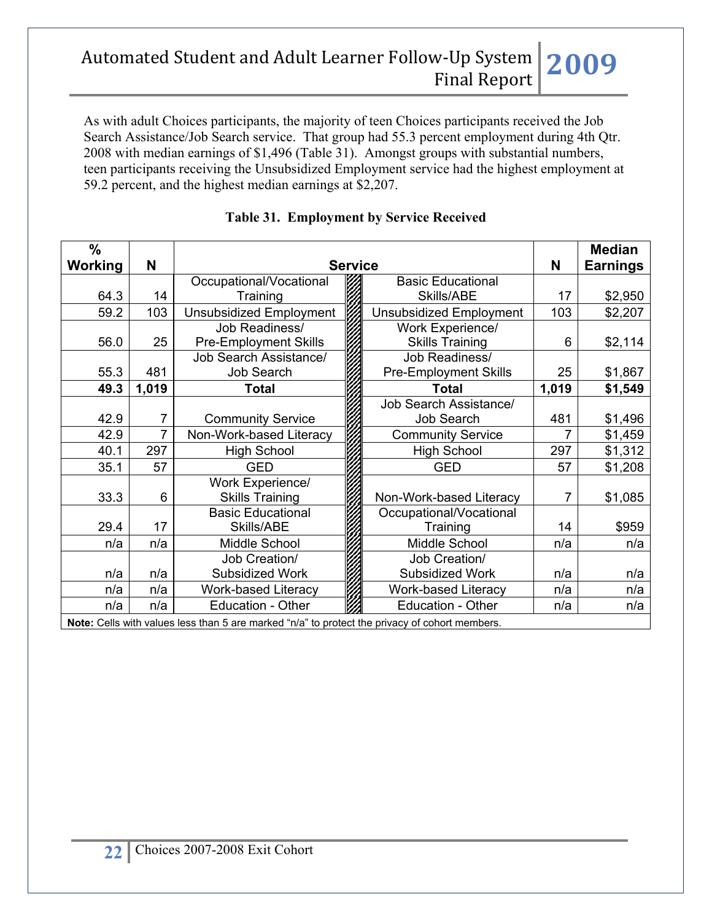As with adult Choices participants, the majority of teen Choices participants received the Job Search Assistance/Job Search service. That group had 55.3 percent employment during 4th Qtr. 2008 with median earnings of \$1,496 (Table 31). Amongst groups with substantial numbers, teen participants receiving the Unsubsidized Employment service had the highest employment at 59.2 percent, and the highest median earnings at \$2,207.

| $\frac{0}{0}$                                                                                  |                |                                |  |                                |       | <b>Median</b>   |
|------------------------------------------------------------------------------------------------|----------------|--------------------------------|--|--------------------------------|-------|-----------------|
| Working                                                                                        | N              | <b>Service</b>                 |  |                                | N     | <b>Earnings</b> |
|                                                                                                |                | Occupational/Vocational        |  | <b>Basic Educational</b>       |       |                 |
| 64.3                                                                                           | 14             | Training                       |  | Skills/ABE                     | 17    | \$2,950         |
| 59.2                                                                                           | 103            | <b>Unsubsidized Employment</b> |  | <b>Unsubsidized Employment</b> | 103   | \$2,207         |
|                                                                                                |                | Job Readiness/                 |  | Work Experience/               |       |                 |
| 56.0                                                                                           | 25             | <b>Pre-Employment Skills</b>   |  | <b>Skills Training</b>         | 6     | \$2,114         |
|                                                                                                |                | Job Search Assistance/         |  | Job Readiness/                 |       |                 |
| 55.3                                                                                           | 481            | Job Search                     |  | <b>Pre-Employment Skills</b>   | 25    | \$1,867         |
| 49.3                                                                                           | 1,019          | Total                          |  | <b>Total</b>                   | 1,019 | \$1,549         |
|                                                                                                |                |                                |  | Job Search Assistance/         |       |                 |
| 42.9                                                                                           | 7              | <b>Community Service</b>       |  | Job Search                     | 481   | \$1,496         |
| 42.9                                                                                           | $\overline{7}$ | Non-Work-based Literacy        |  | <b>Community Service</b>       | 7     | \$1,459         |
| 40.1                                                                                           | 297            | <b>High School</b>             |  | <b>High School</b>             | 297   | \$1,312         |
| 35.1                                                                                           | 57             | <b>GED</b>                     |  | <b>GED</b>                     | 57    | \$1,208         |
|                                                                                                |                | Work Experience/               |  |                                |       |                 |
| 33.3                                                                                           | 6              | <b>Skills Training</b>         |  | Non-Work-based Literacy        | 7     | \$1,085         |
|                                                                                                |                | <b>Basic Educational</b>       |  | Occupational/Vocational        |       |                 |
| 29.4                                                                                           | 17             | Skills/ABE                     |  | Training                       | 14    | \$959           |
| n/a                                                                                            | n/a            | Middle School                  |  | Middle School                  | n/a   | n/a             |
|                                                                                                |                | Job Creation/                  |  | Job Creation/                  |       |                 |
| n/a                                                                                            | n/a            | Subsidized Work                |  | Subsidized Work                | n/a   | n/a             |
| n/a                                                                                            | n/a            | <b>Work-based Literacy</b>     |  | <b>Work-based Literacy</b>     | n/a   | n/a             |
| n/a                                                                                            | n/a            | <b>Education - Other</b>       |  | <b>Education - Other</b>       | n/a   | n/a             |
| Note: Cells with values less than 5 are marked "n/a" to protect the privacy of cohort members. |                |                                |  |                                |       |                 |

### **Table 31. Employment by Service Received**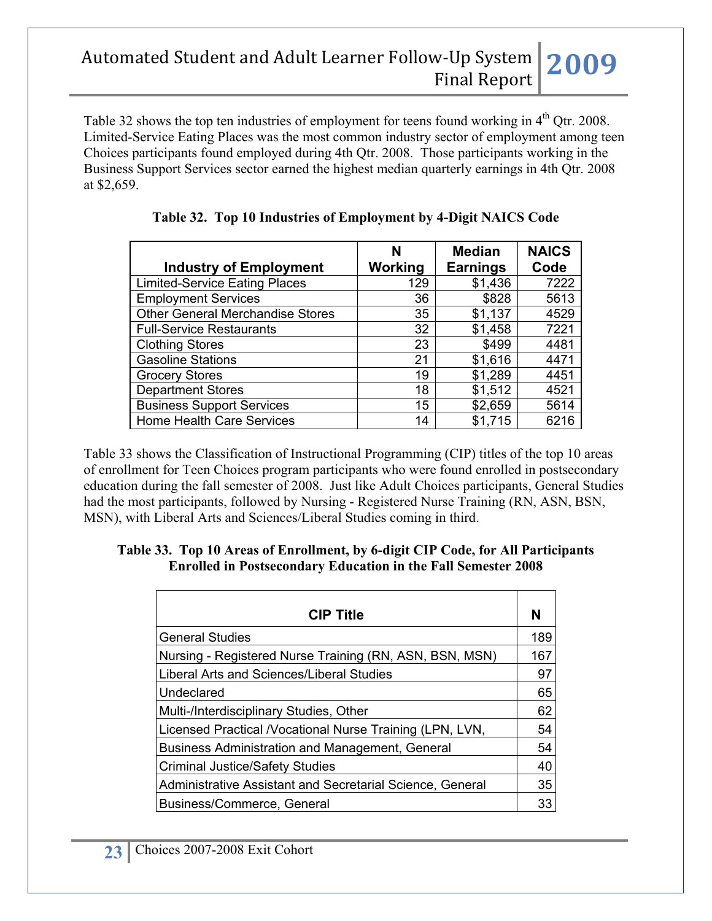Table 32 shows the top ten industries of employment for teens found working in 4<sup>th</sup> Qtr. 2008. Limited-Service Eating Places was the most common industry sector of employment among teen Choices participants found employed during 4th Qtr. 2008. Those participants working in the Business Support Services sector earned the highest median quarterly earnings in 4th Qtr. 2008 at \$2,659.

| <b>Industry of Employment</b>           | N<br>Working | <b>Median</b><br><b>Earnings</b> | <b>NAICS</b><br>Code |
|-----------------------------------------|--------------|----------------------------------|----------------------|
| <b>Limited-Service Eating Places</b>    | 129          | \$1,436                          | 7222                 |
| <b>Employment Services</b>              | 36           | \$828                            | 5613                 |
| <b>Other General Merchandise Stores</b> | 35           | \$1,137                          | 4529                 |
| <b>Full-Service Restaurants</b>         | 32           | \$1,458                          | 7221                 |
| <b>Clothing Stores</b>                  | 23           | \$499                            | 4481                 |
| <b>Gasoline Stations</b>                | 21           | \$1,616                          | 4471                 |
| <b>Grocery Stores</b>                   | 19           | \$1,289                          | 4451                 |
| <b>Department Stores</b>                | 18           | \$1,512                          | 4521                 |
| <b>Business Support Services</b>        | 15           | \$2,659                          | 5614                 |
| <b>Home Health Care Services</b>        | 14           | \$1,715                          | 6216                 |

**Table 32. Top 10 Industries of Employment by 4-Digit NAICS Code**

Table 33 shows the Classification of Instructional Programming (CIP) titles of the top 10 areas of enrollment for Teen Choices program participants who were found enrolled in postsecondary education during the fall semester of 2008. Just like Adult Choices participants, General Studies had the most participants, followed by Nursing - Registered Nurse Training (RN, ASN, BSN, MSN), with Liberal Arts and Sciences/Liberal Studies coming in third.

#### **Table 33. Top 10 Areas of Enrollment, by 6-digit CIP Code, for All Participants Enrolled in Postsecondary Education in the Fall Semester 2008**

| <b>CIP Title</b>                                          | N   |
|-----------------------------------------------------------|-----|
| <b>General Studies</b>                                    | 189 |
| Nursing - Registered Nurse Training (RN, ASN, BSN, MSN)   | 167 |
| Liberal Arts and Sciences/Liberal Studies                 | 97  |
| Undeclared                                                | 65  |
| Multi-/Interdisciplinary Studies, Other                   | 62  |
| Licensed Practical / Vocational Nurse Training (LPN, LVN, | 54  |
| Business Administration and Management, General           | 54  |
| <b>Criminal Justice/Safety Studies</b>                    | 40  |
| Administrative Assistant and Secretarial Science, General | 35  |
| Business/Commerce, General                                | 33  |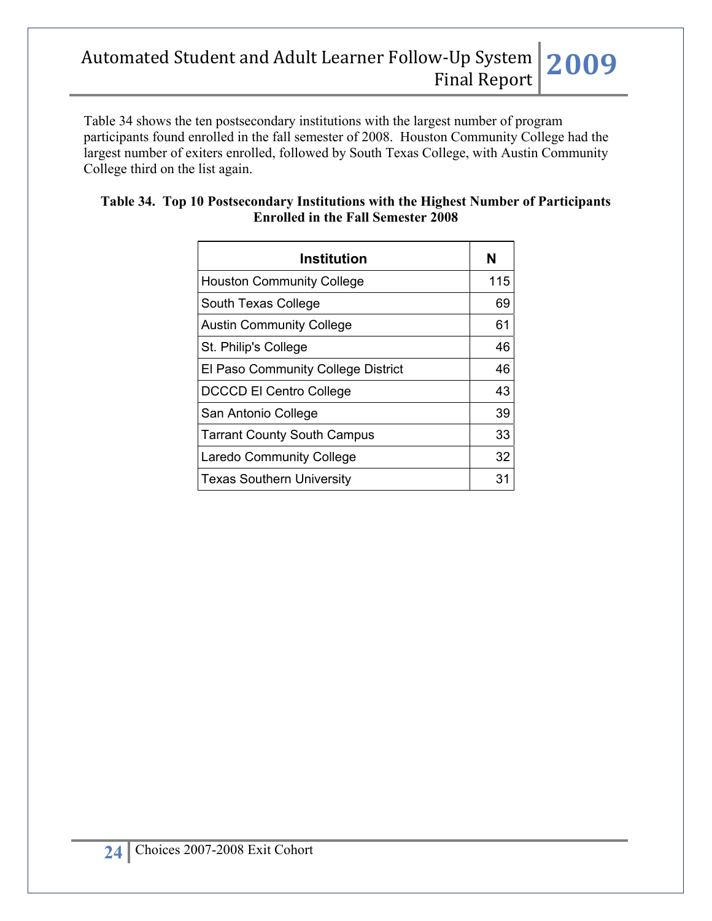Table 34 shows the ten postsecondary institutions with the largest number of program participants found enrolled in the fall semester of 2008. Houston Community College had the largest number of exiters enrolled, followed by South Texas College, with Austin Community College third on the list again.

| Institution                        |     |  |  |
|------------------------------------|-----|--|--|
| <b>Houston Community College</b>   | 115 |  |  |
| South Texas College                | 69  |  |  |
| <b>Austin Community College</b>    | 61  |  |  |
| St. Philip's College               | 46  |  |  |
| El Paso Community College District | 46  |  |  |
| <b>DCCCD El Centro College</b>     | 43  |  |  |
| San Antonio College                | 39  |  |  |
| <b>Tarrant County South Campus</b> | 33  |  |  |
| <b>Laredo Community College</b>    | 32  |  |  |
| <b>Texas Southern University</b>   | 31  |  |  |

### **Table 34. Top 10 Postsecondary Institutions with the Highest Number of Participants Enrolled in the Fall Semester 2008**